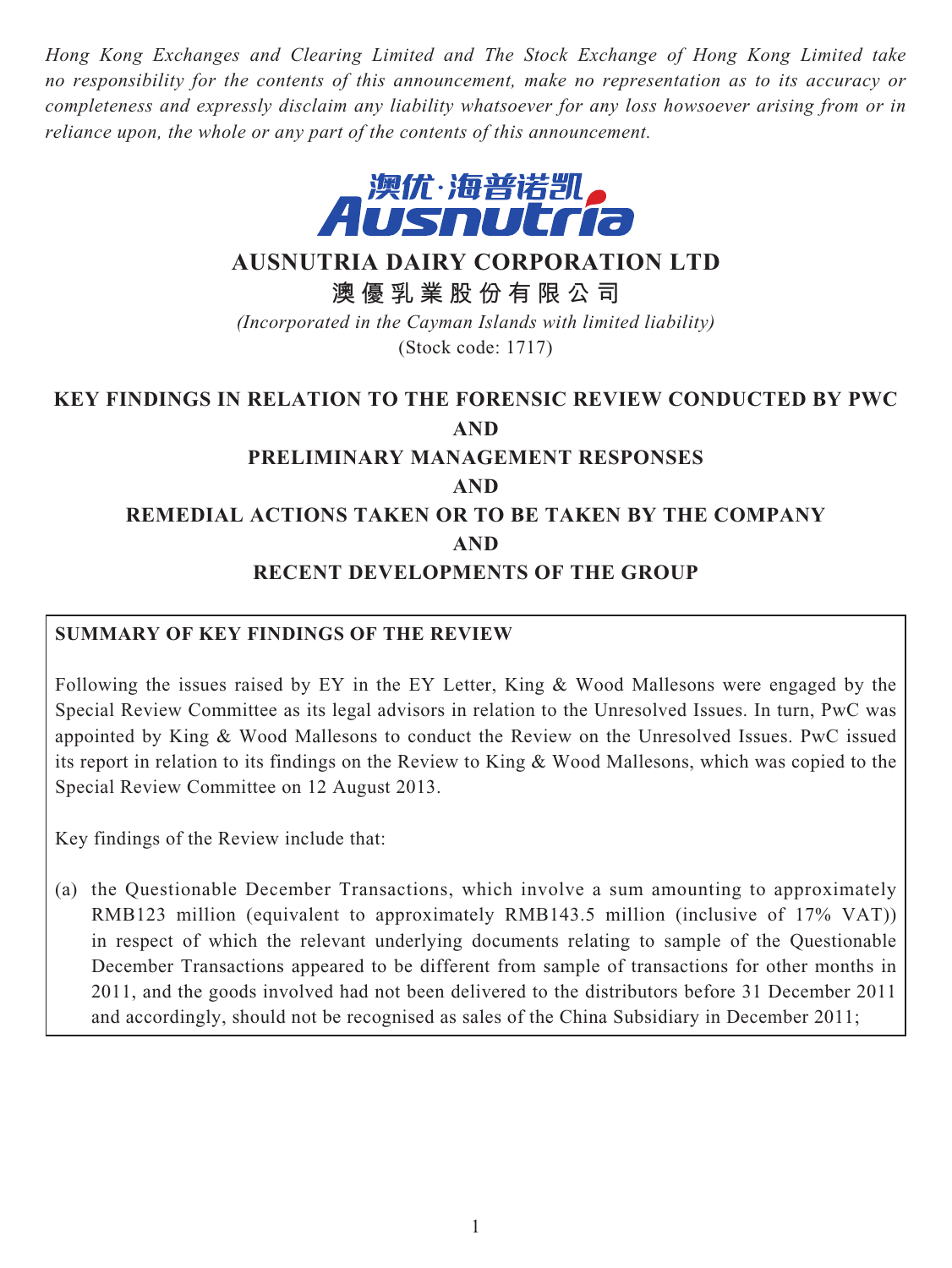*Hong Kong Exchanges and Clearing Limited and The Stock Exchange of Hong Kong Limited take no responsibility for the contents of this announcement, make no representation as to its accuracy or completeness and expressly disclaim any liability whatsoever for any loss howsoever arising from or in reliance upon, the whole or any part of the contents of this announcement.*



## **AUSNUTRIA DAIRY CORPORATION LTD**

**澳優乳業股份有限公司**

*(Incorporated in the Cayman Islands with limited liability)* (Stock code: 1717)

# **KEY FINDINGS IN RELATION TO THE FORENSIC REVIEW CONDUCTED BY PWC AND**

# **PRELIMINARY MANAGEMENT RESPONSES AND REMEDIAL ACTIONS TAKEN OR TO BE TAKEN BY THE COMPANY**

#### **AND**

#### **RECENT DEVELOPMENTS OF THE GROUP**

## **SUMMARY OF KEY FINDINGS OF THE REVIEW**

Following the issues raised by EY in the EY Letter, King & Wood Mallesons were engaged by the Special Review Committee as its legal advisors in relation to the Unresolved Issues. In turn, PwC was appointed by King & Wood Mallesons to conduct the Review on the Unresolved Issues. PwC issued its report in relation to its findings on the Review to King & Wood Mallesons, which was copied to the Special Review Committee on 12 August 2013.

Key findings of the Review include that:

(a) the Questionable December Transactions, which involve a sum amounting to approximately RMB123 million (equivalent to approximately RMB143.5 million (inclusive of 17% VAT)) in respect of which the relevant underlying documents relating to sample of the Questionable December Transactions appeared to be different from sample of transactions for other months in 2011, and the goods involved had not been delivered to the distributors before 31 December 2011 and accordingly, should not be recognised as sales of the China Subsidiary in December 2011;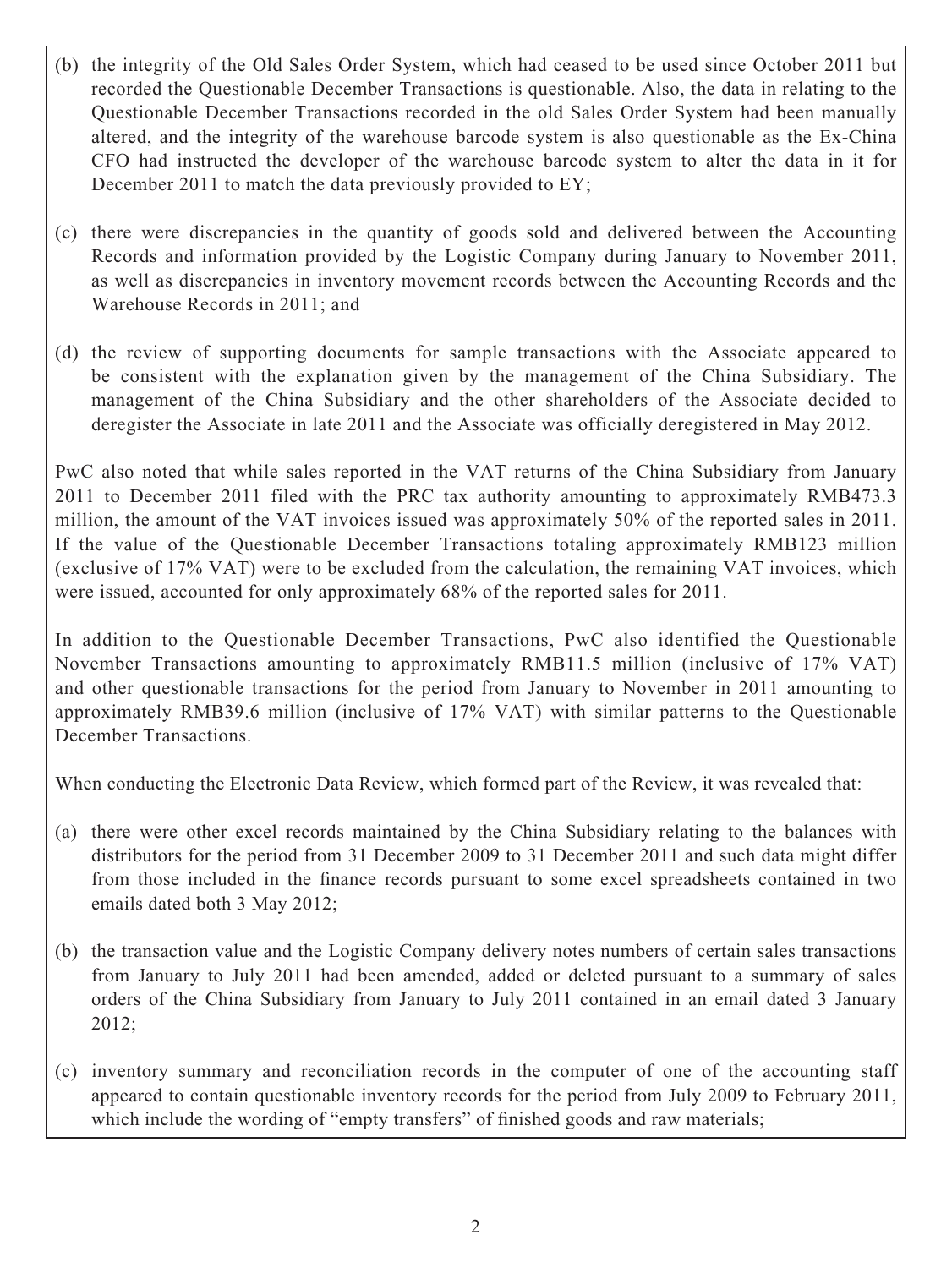- (b) the integrity of the Old Sales Order System, which had ceased to be used since October 2011 but recorded the Questionable December Transactions is questionable. Also, the data in relating to the Questionable December Transactions recorded in the old Sales Order System had been manually altered, and the integrity of the warehouse barcode system is also questionable as the Ex-China CFO had instructed the developer of the warehouse barcode system to alter the data in it for December 2011 to match the data previously provided to EY;
- (c) there were discrepancies in the quantity of goods sold and delivered between the Accounting Records and information provided by the Logistic Company during January to November 2011, as well as discrepancies in inventory movement records between the Accounting Records and the Warehouse Records in 2011; and
- (d) the review of supporting documents for sample transactions with the Associate appeared to be consistent with the explanation given by the management of the China Subsidiary. The management of the China Subsidiary and the other shareholders of the Associate decided to deregister the Associate in late 2011 and the Associate was officially deregistered in May 2012.

PwC also noted that while sales reported in the VAT returns of the China Subsidiary from January 2011 to December 2011 filed with the PRC tax authority amounting to approximately RMB473.3 million, the amount of the VAT invoices issued was approximately 50% of the reported sales in 2011. If the value of the Questionable December Transactions totaling approximately RMB123 million (exclusive of 17% VAT) were to be excluded from the calculation, the remaining VAT invoices, which were issued, accounted for only approximately 68% of the reported sales for 2011.

In addition to the Questionable December Transactions, PwC also identified the Questionable November Transactions amounting to approximately RMB11.5 million (inclusive of 17% VAT) and other questionable transactions for the period from January to November in 2011 amounting to approximately RMB39.6 million (inclusive of 17% VAT) with similar patterns to the Questionable December Transactions.

When conducting the Electronic Data Review, which formed part of the Review, it was revealed that:

- (a) there were other excel records maintained by the China Subsidiary relating to the balances with distributors for the period from 31 December 2009 to 31 December 2011 and such data might differ from those included in the finance records pursuant to some excel spreadsheets contained in two emails dated both 3 May 2012;
- (b) the transaction value and the Logistic Company delivery notes numbers of certain sales transactions from January to July 2011 had been amended, added or deleted pursuant to a summary of sales orders of the China Subsidiary from January to July 2011 contained in an email dated 3 January 2012;
- (c) inventory summary and reconciliation records in the computer of one of the accounting staff appeared to contain questionable inventory records for the period from July 2009 to February 2011, which include the wording of "empty transfers" of finished goods and raw materials;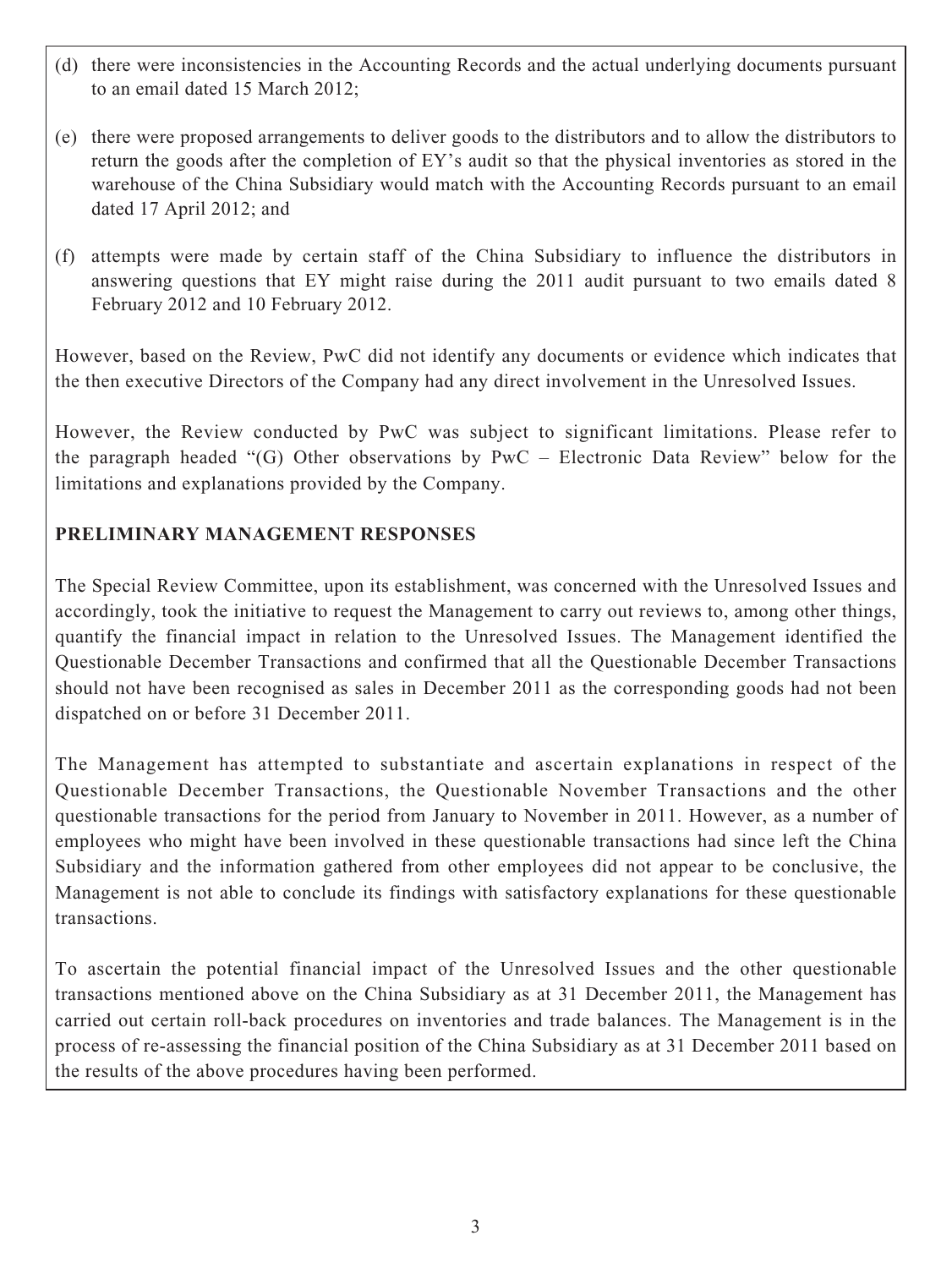- (d) there were inconsistencies in the Accounting Records and the actual underlying documents pursuant to an email dated 15 March 2012;
- (e) there were proposed arrangements to deliver goods to the distributors and to allow the distributors to return the goods after the completion of EY's audit so that the physical inventories as stored in the warehouse of the China Subsidiary would match with the Accounting Records pursuant to an email dated 17 April 2012; and
- (f) attempts were made by certain staff of the China Subsidiary to influence the distributors in answering questions that EY might raise during the 2011 audit pursuant to two emails dated 8 February 2012 and 10 February 2012.

However, based on the Review, PwC did not identify any documents or evidence which indicates that the then executive Directors of the Company had any direct involvement in the Unresolved Issues.

However, the Review conducted by PwC was subject to significant limitations. Please refer to the paragraph headed "(G) Other observations by PwC – Electronic Data Review" below for the limitations and explanations provided by the Company.

## **PRELIMINARY MANAGEMENT RESPONSES**

The Special Review Committee, upon its establishment, was concerned with the Unresolved Issues and accordingly, took the initiative to request the Management to carry out reviews to, among other things, quantify the financial impact in relation to the Unresolved Issues. The Management identified the Questionable December Transactions and confirmed that all the Questionable December Transactions should not have been recognised as sales in December 2011 as the corresponding goods had not been dispatched on or before 31 December 2011.

The Management has attempted to substantiate and ascertain explanations in respect of the Questionable December Transactions, the Questionable November Transactions and the other questionable transactions for the period from January to November in 2011. However, as a number of employees who might have been involved in these questionable transactions had since left the China Subsidiary and the information gathered from other employees did not appear to be conclusive, the Management is not able to conclude its findings with satisfactory explanations for these questionable transactions.

To ascertain the potential financial impact of the Unresolved Issues and the other questionable transactions mentioned above on the China Subsidiary as at 31 December 2011, the Management has carried out certain roll-back procedures on inventories and trade balances. The Management is in the process of re-assessing the financial position of the China Subsidiary as at 31 December 2011 based on the results of the above procedures having been performed.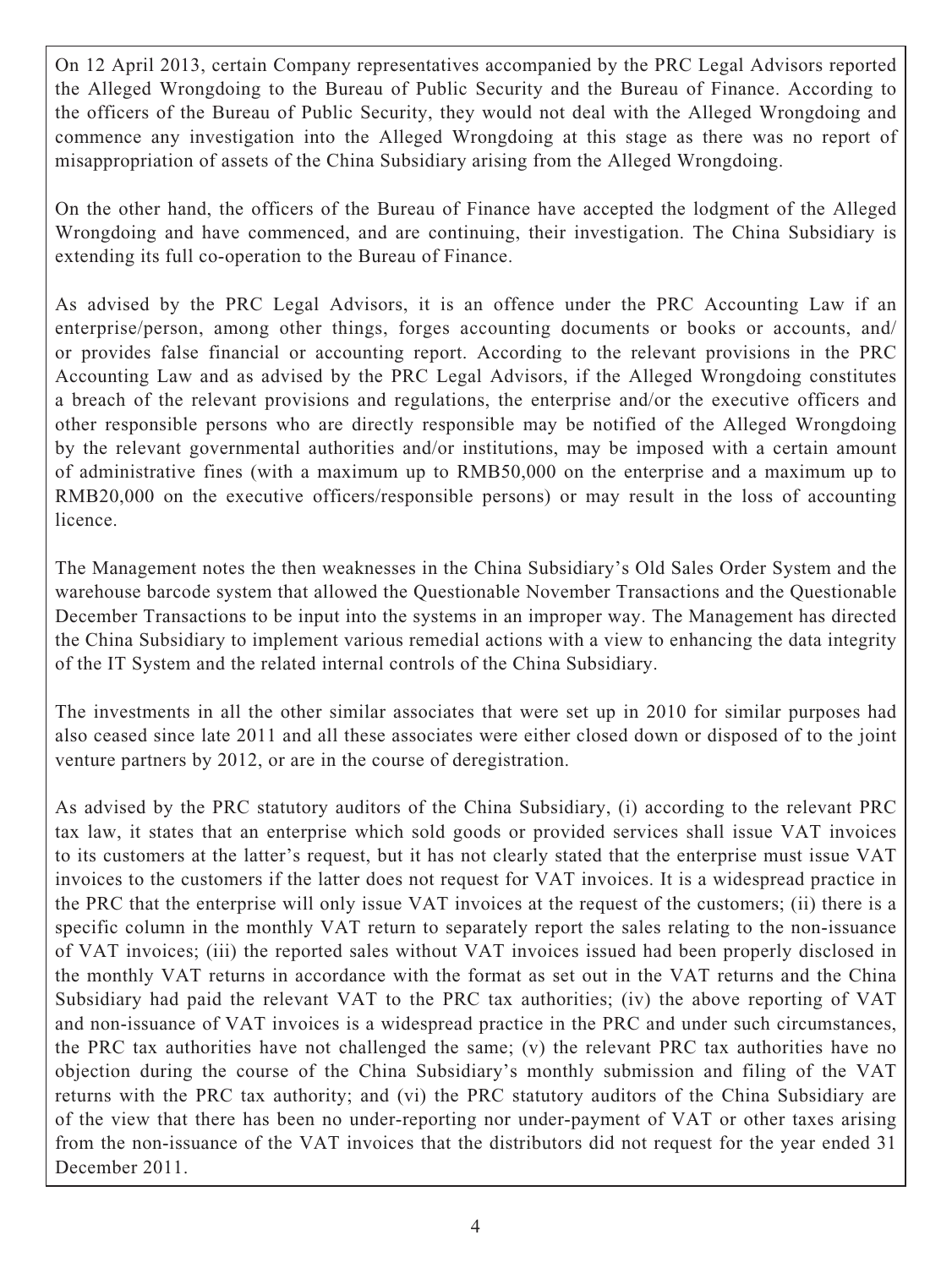On 12 April 2013, certain Company representatives accompanied by the PRC Legal Advisors reported the Alleged Wrongdoing to the Bureau of Public Security and the Bureau of Finance. According to the officers of the Bureau of Public Security, they would not deal with the Alleged Wrongdoing and commence any investigation into the Alleged Wrongdoing at this stage as there was no report of misappropriation of assets of the China Subsidiary arising from the Alleged Wrongdoing.

On the other hand, the officers of the Bureau of Finance have accepted the lodgment of the Alleged Wrongdoing and have commenced, and are continuing, their investigation. The China Subsidiary is extending its full co-operation to the Bureau of Finance.

As advised by the PRC Legal Advisors, it is an offence under the PRC Accounting Law if an enterprise/person, among other things, forges accounting documents or books or accounts, and/ or provides false financial or accounting report. According to the relevant provisions in the PRC Accounting Law and as advised by the PRC Legal Advisors, if the Alleged Wrongdoing constitutes a breach of the relevant provisions and regulations, the enterprise and/or the executive officers and other responsible persons who are directly responsible may be notified of the Alleged Wrongdoing by the relevant governmental authorities and/or institutions, may be imposed with a certain amount of administrative fines (with a maximum up to RMB50,000 on the enterprise and a maximum up to RMB20,000 on the executive officers/responsible persons) or may result in the loss of accounting licence.

The Management notes the then weaknesses in the China Subsidiary's Old Sales Order System and the warehouse barcode system that allowed the Questionable November Transactions and the Questionable December Transactions to be input into the systems in an improper way. The Management has directed the China Subsidiary to implement various remedial actions with a view to enhancing the data integrity of the IT System and the related internal controls of the China Subsidiary.

The investments in all the other similar associates that were set up in 2010 for similar purposes had also ceased since late 2011 and all these associates were either closed down or disposed of to the joint venture partners by 2012, or are in the course of deregistration.

As advised by the PRC statutory auditors of the China Subsidiary, (i) according to the relevant PRC tax law, it states that an enterprise which sold goods or provided services shall issue VAT invoices to its customers at the latter's request, but it has not clearly stated that the enterprise must issue VAT invoices to the customers if the latter does not request for VAT invoices. It is a widespread practice in the PRC that the enterprise will only issue VAT invoices at the request of the customers; (ii) there is a specific column in the monthly VAT return to separately report the sales relating to the non-issuance of VAT invoices; (iii) the reported sales without VAT invoices issued had been properly disclosed in the monthly VAT returns in accordance with the format as set out in the VAT returns and the China Subsidiary had paid the relevant VAT to the PRC tax authorities; (iv) the above reporting of VAT and non-issuance of VAT invoices is a widespread practice in the PRC and under such circumstances, the PRC tax authorities have not challenged the same; (v) the relevant PRC tax authorities have no objection during the course of the China Subsidiary's monthly submission and filing of the VAT returns with the PRC tax authority; and (vi) the PRC statutory auditors of the China Subsidiary are of the view that there has been no under-reporting nor under-payment of VAT or other taxes arising from the non-issuance of the VAT invoices that the distributors did not request for the year ended 31 December 2011.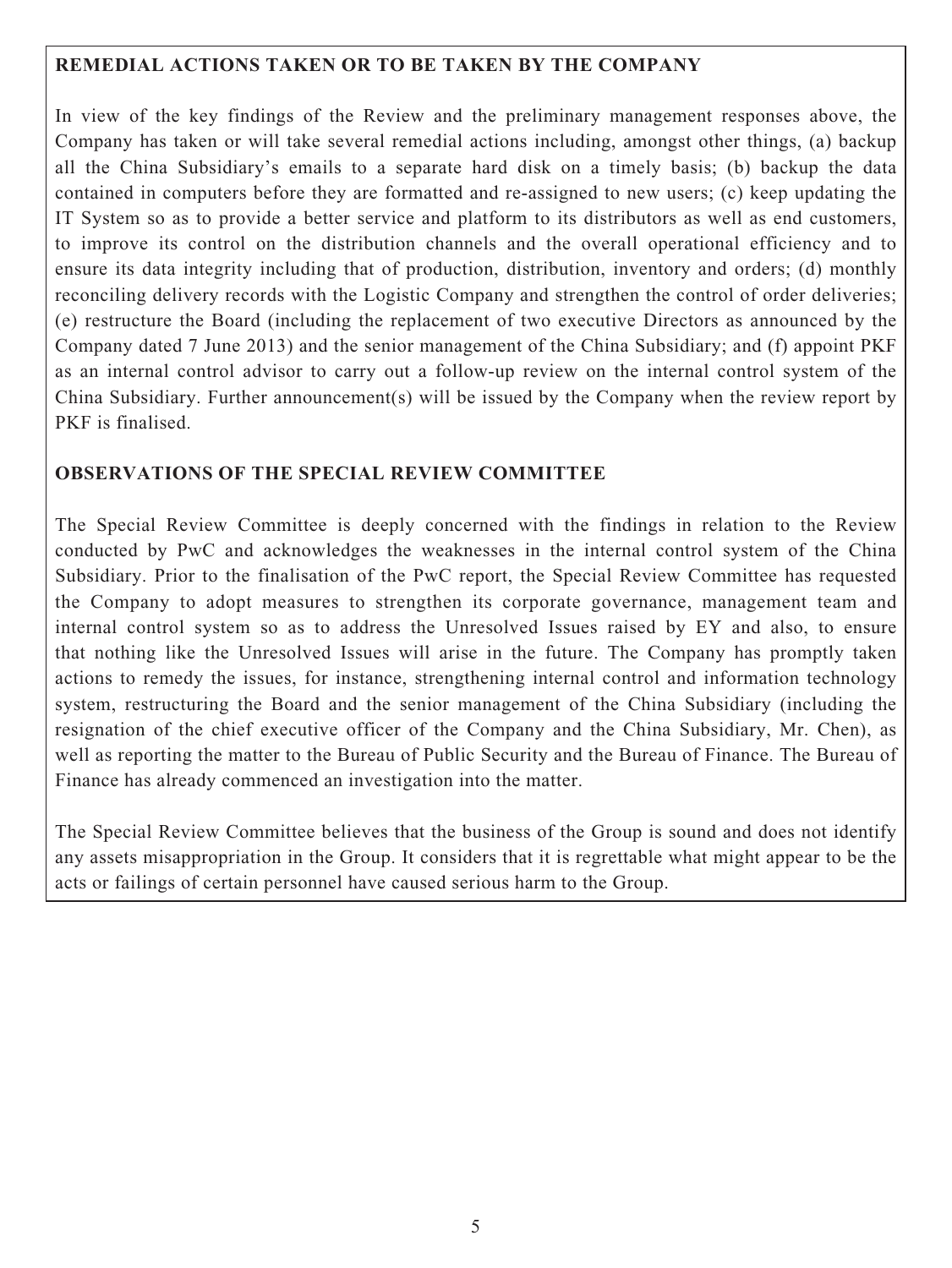#### **REMEDIAL ACTIONS TAKEN OR TO BE TAKEN BY THE COMPANY**

In view of the key findings of the Review and the preliminary management responses above, the Company has taken or will take several remedial actions including, amongst other things, (a) backup all the China Subsidiary's emails to a separate hard disk on a timely basis; (b) backup the data contained in computers before they are formatted and re-assigned to new users; (c) keep updating the IT System so as to provide a better service and platform to its distributors as well as end customers, to improve its control on the distribution channels and the overall operational efficiency and to ensure its data integrity including that of production, distribution, inventory and orders; (d) monthly reconciling delivery records with the Logistic Company and strengthen the control of order deliveries; (e) restructure the Board (including the replacement of two executive Directors as announced by the Company dated 7 June 2013) and the senior management of the China Subsidiary; and (f) appoint PKF as an internal control advisor to carry out a follow-up review on the internal control system of the China Subsidiary. Further announcement(s) will be issued by the Company when the review report by PKF is finalised.

## **OBSERVATIONS OF THE SPECIAL REVIEW COMMITTEE**

The Special Review Committee is deeply concerned with the findings in relation to the Review conducted by PwC and acknowledges the weaknesses in the internal control system of the China Subsidiary. Prior to the finalisation of the PwC report, the Special Review Committee has requested the Company to adopt measures to strengthen its corporate governance, management team and internal control system so as to address the Unresolved Issues raised by EY and also, to ensure that nothing like the Unresolved Issues will arise in the future. The Company has promptly taken actions to remedy the issues, for instance, strengthening internal control and information technology system, restructuring the Board and the senior management of the China Subsidiary (including the resignation of the chief executive officer of the Company and the China Subsidiary, Mr. Chen), as well as reporting the matter to the Bureau of Public Security and the Bureau of Finance. The Bureau of Finance has already commenced an investigation into the matter.

The Special Review Committee believes that the business of the Group is sound and does not identify any assets misappropriation in the Group. It considers that it is regrettable what might appear to be the acts or failings of certain personnel have caused serious harm to the Group.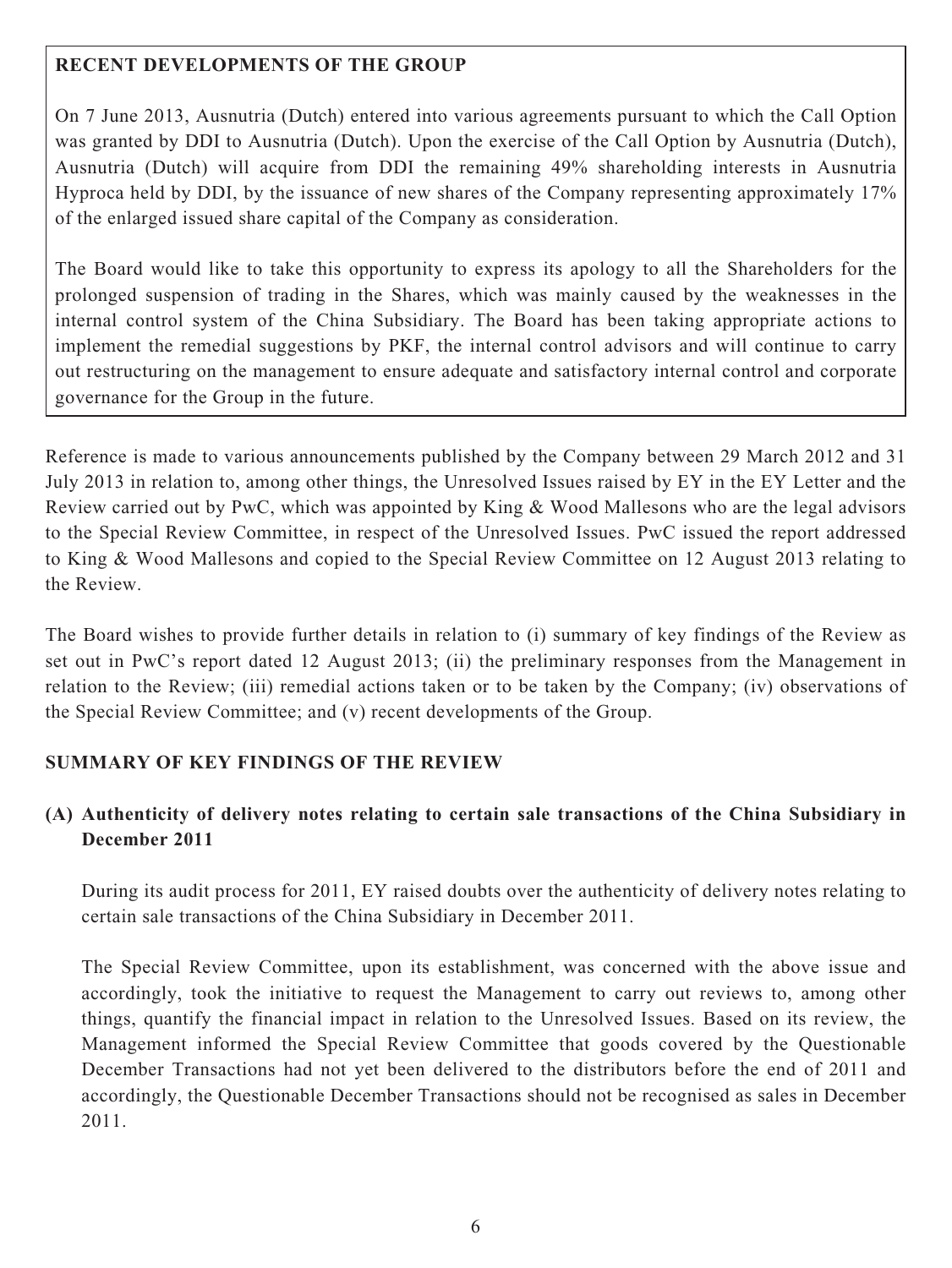## **RECENT DEVELOPMENTS OF THE GROUP**

On 7 June 2013, Ausnutria (Dutch) entered into various agreements pursuant to which the Call Option was granted by DDI to Ausnutria (Dutch). Upon the exercise of the Call Option by Ausnutria (Dutch), Ausnutria (Dutch) will acquire from DDI the remaining 49% shareholding interests in Ausnutria Hyproca held by DDI, by the issuance of new shares of the Company representing approximately 17% of the enlarged issued share capital of the Company as consideration.

The Board would like to take this opportunity to express its apology to all the Shareholders for the prolonged suspension of trading in the Shares, which was mainly caused by the weaknesses in the internal control system of the China Subsidiary. The Board has been taking appropriate actions to implement the remedial suggestions by PKF, the internal control advisors and will continue to carry out restructuring on the management to ensure adequate and satisfactory internal control and corporate governance for the Group in the future.

Reference is made to various announcements published by the Company between 29 March 2012 and 31 July 2013 in relation to, among other things, the Unresolved Issues raised by EY in the EY Letter and the Review carried out by PwC, which was appointed by King & Wood Mallesons who are the legal advisors to the Special Review Committee, in respect of the Unresolved Issues. PwC issued the report addressed to King & Wood Mallesons and copied to the Special Review Committee on 12 August 2013 relating to the Review.

The Board wishes to provide further details in relation to (i) summary of key findings of the Review as set out in PwC's report dated 12 August 2013; (ii) the preliminary responses from the Management in relation to the Review; (iii) remedial actions taken or to be taken by the Company; (iv) observations of the Special Review Committee; and (v) recent developments of the Group.

## **SUMMARY OF KEY FINDINGS OF THE REVIEW**

## **(A) Authenticity of delivery notes relating to certain sale transactions of the China Subsidiary in December 2011**

During its audit process for 2011, EY raised doubts over the authenticity of delivery notes relating to certain sale transactions of the China Subsidiary in December 2011.

The Special Review Committee, upon its establishment, was concerned with the above issue and accordingly, took the initiative to request the Management to carry out reviews to, among other things, quantify the financial impact in relation to the Unresolved Issues. Based on its review, the Management informed the Special Review Committee that goods covered by the Questionable December Transactions had not yet been delivered to the distributors before the end of 2011 and accordingly, the Questionable December Transactions should not be recognised as sales in December 2011.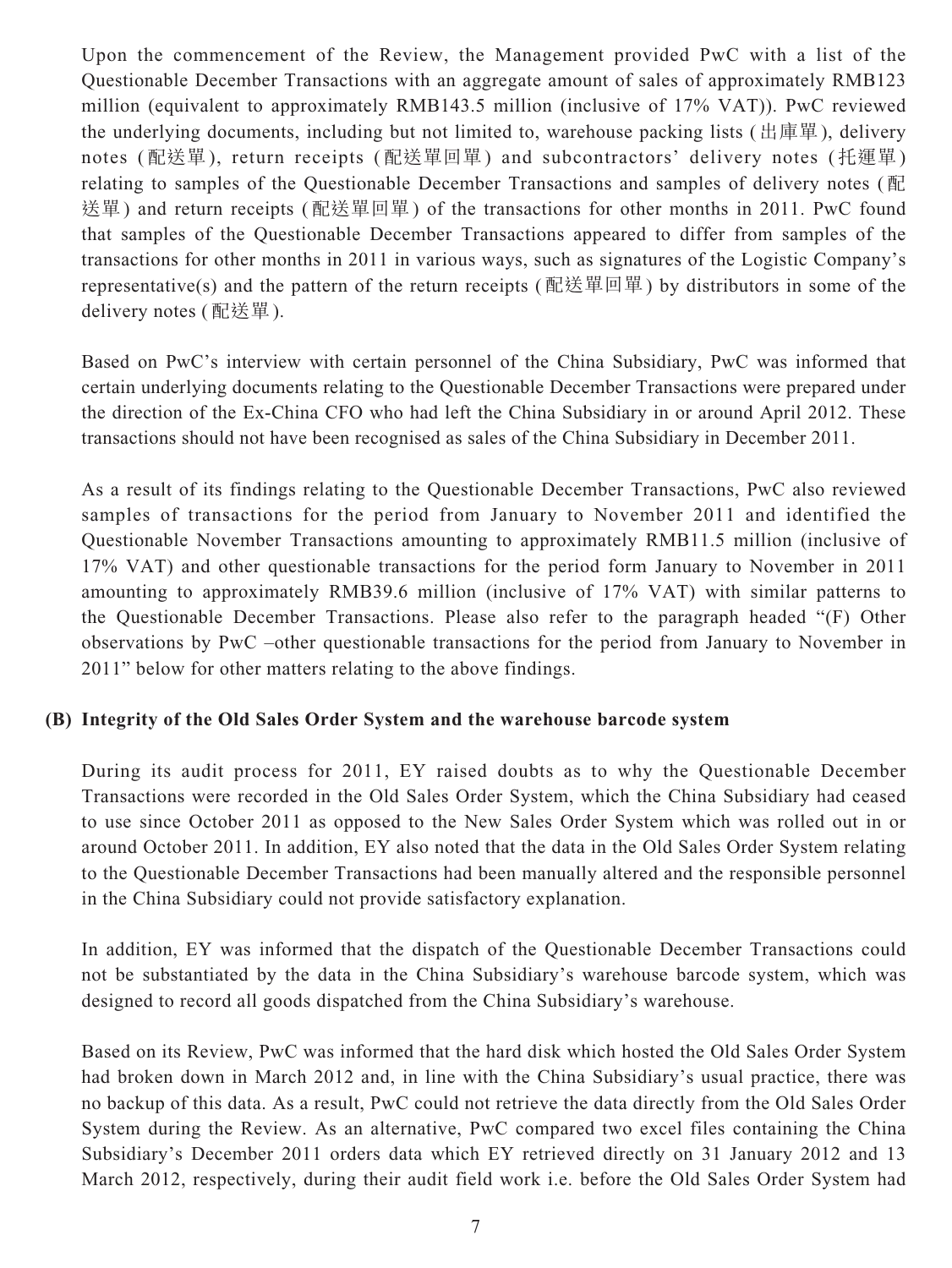Upon the commencement of the Review, the Management provided PwC with a list of the Questionable December Transactions with an aggregate amount of sales of approximately RMB123 million (equivalent to approximately RMB143.5 million (inclusive of 17% VAT)). PwC reviewed the underlying documents, including but not limited to, warehouse packing lists (出庫單), delivery notes (配送單), return receipts (配送單回單) and subcontractors' delivery notes (托運單) relating to samples of the Questionable December Transactions and samples of delivery notes (配 送單) and return receipts (配送單回單) of the transactions for other months in 2011. PwC found that samples of the Questionable December Transactions appeared to differ from samples of the transactions for other months in 2011 in various ways, such as signatures of the Logistic Company's representative(s) and the pattern of the return receipts (配送單回單) by distributors in some of the delivery notes (配送單).

Based on PwC's interview with certain personnel of the China Subsidiary, PwC was informed that certain underlying documents relating to the Questionable December Transactions were prepared under the direction of the Ex-China CFO who had left the China Subsidiary in or around April 2012. These transactions should not have been recognised as sales of the China Subsidiary in December 2011.

As a result of its findings relating to the Questionable December Transactions, PwC also reviewed samples of transactions for the period from January to November 2011 and identified the Questionable November Transactions amounting to approximately RMB11.5 million (inclusive of 17% VAT) and other questionable transactions for the period form January to November in 2011 amounting to approximately RMB39.6 million (inclusive of 17% VAT) with similar patterns to the Questionable December Transactions. Please also refer to the paragraph headed "(F) Other observations by PwC –other questionable transactions for the period from January to November in 2011" below for other matters relating to the above findings.

#### **(B) Integrity of the Old Sales Order System and the warehouse barcode system**

During its audit process for 2011, EY raised doubts as to why the Questionable December Transactions were recorded in the Old Sales Order System, which the China Subsidiary had ceased to use since October 2011 as opposed to the New Sales Order System which was rolled out in or around October 2011. In addition, EY also noted that the data in the Old Sales Order System relating to the Questionable December Transactions had been manually altered and the responsible personnel in the China Subsidiary could not provide satisfactory explanation.

In addition, EY was informed that the dispatch of the Questionable December Transactions could not be substantiated by the data in the China Subsidiary's warehouse barcode system, which was designed to record all goods dispatched from the China Subsidiary's warehouse.

Based on its Review, PwC was informed that the hard disk which hosted the Old Sales Order System had broken down in March 2012 and, in line with the China Subsidiary's usual practice, there was no backup of this data. As a result, PwC could not retrieve the data directly from the Old Sales Order System during the Review. As an alternative, PwC compared two excel files containing the China Subsidiary's December 2011 orders data which EY retrieved directly on 31 January 2012 and 13 March 2012, respectively, during their audit field work i.e. before the Old Sales Order System had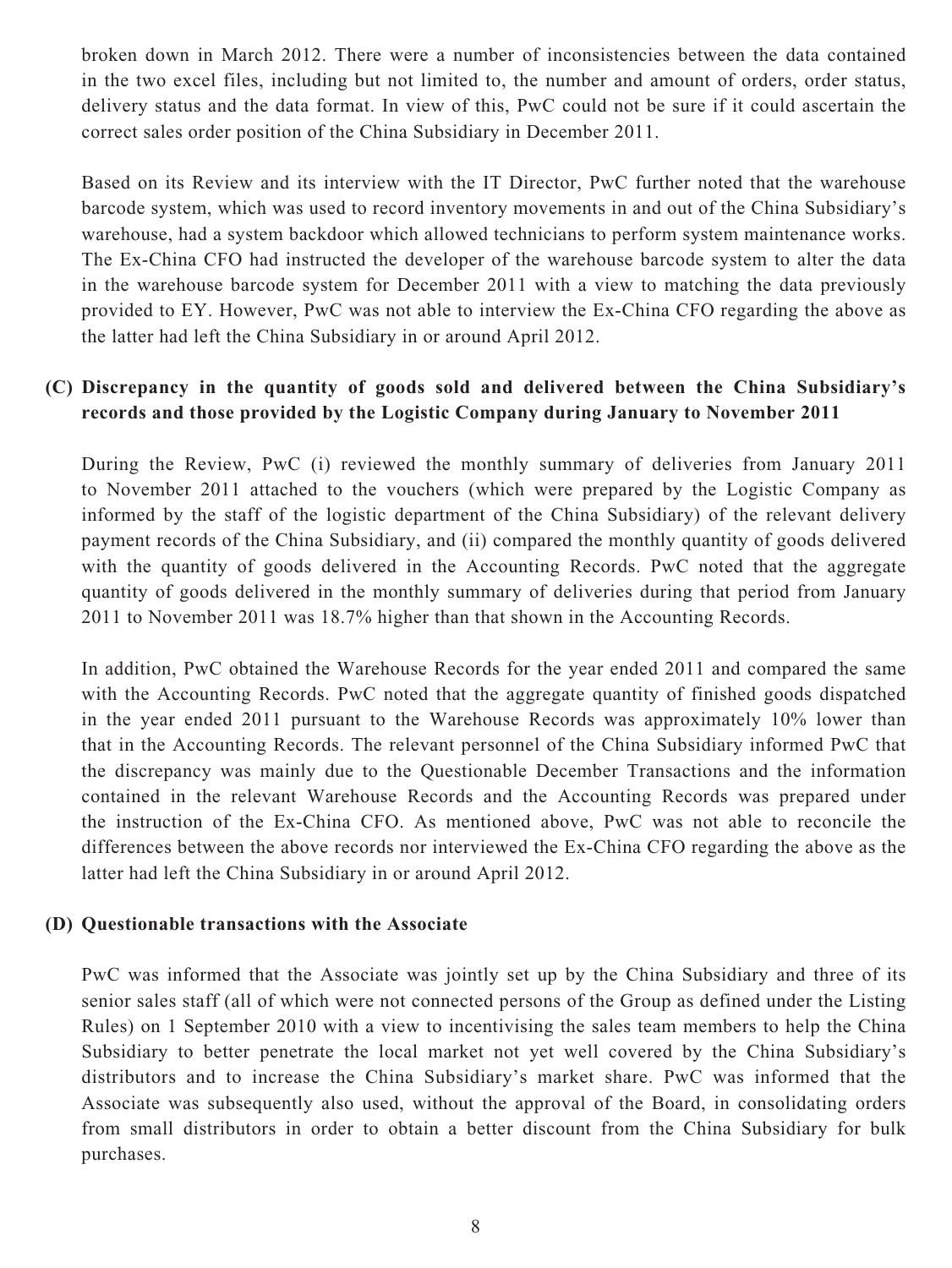broken down in March 2012. There were a number of inconsistencies between the data contained in the two excel files, including but not limited to, the number and amount of orders, order status, delivery status and the data format. In view of this, PwC could not be sure if it could ascertain the correct sales order position of the China Subsidiary in December 2011.

Based on its Review and its interview with the IT Director, PwC further noted that the warehouse barcode system, which was used to record inventory movements in and out of the China Subsidiary's warehouse, had a system backdoor which allowed technicians to perform system maintenance works. The Ex-China CFO had instructed the developer of the warehouse barcode system to alter the data in the warehouse barcode system for December 2011 with a view to matching the data previously provided to EY. However, PwC was not able to interview the Ex-China CFO regarding the above as the latter had left the China Subsidiary in or around April 2012.

## **(C) Discrepancy in the quantity of goods sold and delivered between the China Subsidiary's records and those provided by the Logistic Company during January to November 2011**

During the Review, PwC (i) reviewed the monthly summary of deliveries from January 2011 to November 2011 attached to the vouchers (which were prepared by the Logistic Company as informed by the staff of the logistic department of the China Subsidiary) of the relevant delivery payment records of the China Subsidiary, and (ii) compared the monthly quantity of goods delivered with the quantity of goods delivered in the Accounting Records. PwC noted that the aggregate quantity of goods delivered in the monthly summary of deliveries during that period from January 2011 to November 2011 was 18.7% higher than that shown in the Accounting Records.

In addition, PwC obtained the Warehouse Records for the year ended 2011 and compared the same with the Accounting Records. PwC noted that the aggregate quantity of finished goods dispatched in the year ended 2011 pursuant to the Warehouse Records was approximately 10% lower than that in the Accounting Records. The relevant personnel of the China Subsidiary informed PwC that the discrepancy was mainly due to the Questionable December Transactions and the information contained in the relevant Warehouse Records and the Accounting Records was prepared under the instruction of the Ex-China CFO. As mentioned above, PwC was not able to reconcile the differences between the above records nor interviewed the Ex-China CFO regarding the above as the latter had left the China Subsidiary in or around April 2012.

#### **(D) Questionable transactions with the Associate**

PwC was informed that the Associate was jointly set up by the China Subsidiary and three of its senior sales staff (all of which were not connected persons of the Group as defined under the Listing Rules) on 1 September 2010 with a view to incentivising the sales team members to help the China Subsidiary to better penetrate the local market not yet well covered by the China Subsidiary's distributors and to increase the China Subsidiary's market share. PwC was informed that the Associate was subsequently also used, without the approval of the Board, in consolidating orders from small distributors in order to obtain a better discount from the China Subsidiary for bulk purchases.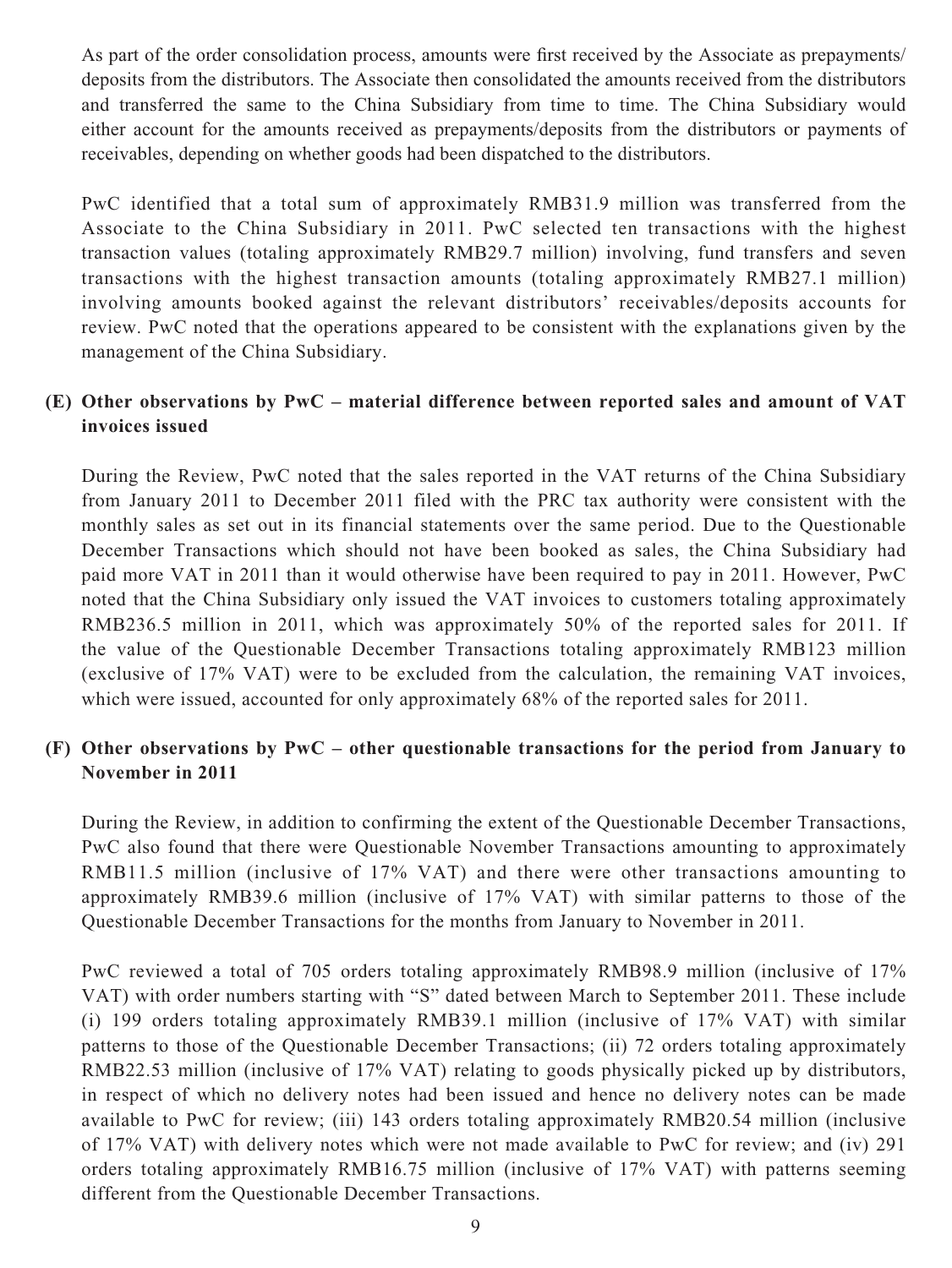As part of the order consolidation process, amounts were first received by the Associate as prepayments/ deposits from the distributors. The Associate then consolidated the amounts received from the distributors and transferred the same to the China Subsidiary from time to time. The China Subsidiary would either account for the amounts received as prepayments/deposits from the distributors or payments of receivables, depending on whether goods had been dispatched to the distributors.

PwC identified that a total sum of approximately RMB31.9 million was transferred from the Associate to the China Subsidiary in 2011. PwC selected ten transactions with the highest transaction values (totaling approximately RMB29.7 million) involving, fund transfers and seven transactions with the highest transaction amounts (totaling approximately RMB27.1 million) involving amounts booked against the relevant distributors' receivables/deposits accounts for review. PwC noted that the operations appeared to be consistent with the explanations given by the management of the China Subsidiary.

## **(E) Other observations by PwC – material difference between reported sales and amount of VAT invoices issued**

During the Review, PwC noted that the sales reported in the VAT returns of the China Subsidiary from January 2011 to December 2011 filed with the PRC tax authority were consistent with the monthly sales as set out in its financial statements over the same period. Due to the Questionable December Transactions which should not have been booked as sales, the China Subsidiary had paid more VAT in 2011 than it would otherwise have been required to pay in 2011. However, PwC noted that the China Subsidiary only issued the VAT invoices to customers totaling approximately RMB236.5 million in 2011, which was approximately 50% of the reported sales for 2011. If the value of the Questionable December Transactions totaling approximately RMB123 million (exclusive of 17% VAT) were to be excluded from the calculation, the remaining VAT invoices, which were issued, accounted for only approximately 68% of the reported sales for 2011.

#### **(F) Other observations by PwC – other questionable transactions for the period from January to November in 2011**

During the Review, in addition to confirming the extent of the Questionable December Transactions, PwC also found that there were Questionable November Transactions amounting to approximately RMB11.5 million (inclusive of 17% VAT) and there were other transactions amounting to approximately RMB39.6 million (inclusive of 17% VAT) with similar patterns to those of the Questionable December Transactions for the months from January to November in 2011.

PwC reviewed a total of 705 orders totaling approximately RMB98.9 million (inclusive of 17% VAT) with order numbers starting with "S" dated between March to September 2011. These include (i) 199 orders totaling approximately RMB39.1 million (inclusive of 17% VAT) with similar patterns to those of the Questionable December Transactions; (ii) 72 orders totaling approximately RMB22.53 million (inclusive of 17% VAT) relating to goods physically picked up by distributors, in respect of which no delivery notes had been issued and hence no delivery notes can be made available to PwC for review; (iii) 143 orders totaling approximately RMB20.54 million (inclusive of 17% VAT) with delivery notes which were not made available to PwC for review; and (iv) 291 orders totaling approximately RMB16.75 million (inclusive of 17% VAT) with patterns seeming different from the Questionable December Transactions.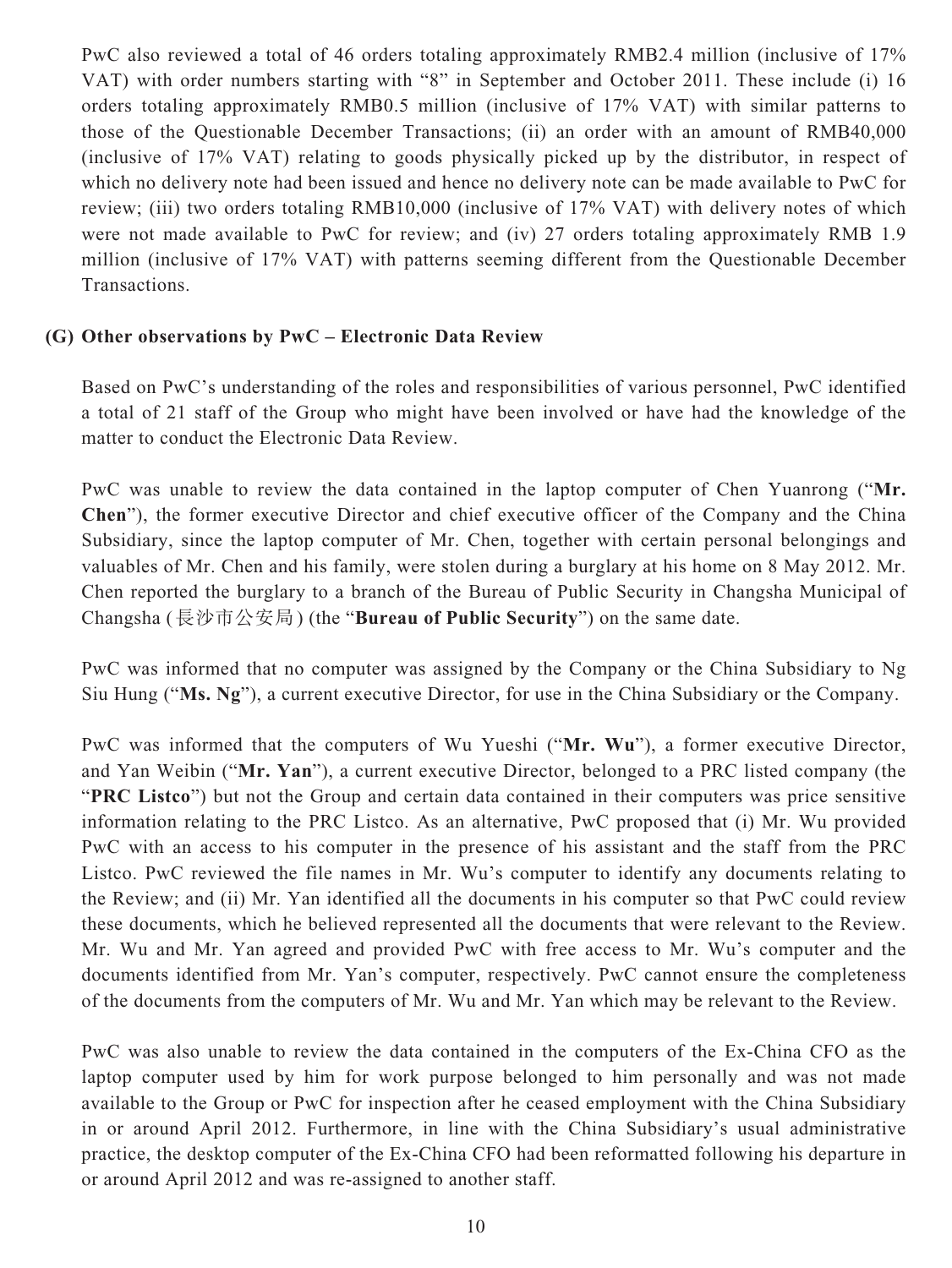PwC also reviewed a total of 46 orders totaling approximately RMB2.4 million (inclusive of 17% VAT) with order numbers starting with "8" in September and October 2011. These include (i) 16 orders totaling approximately RMB0.5 million (inclusive of 17% VAT) with similar patterns to those of the Questionable December Transactions; (ii) an order with an amount of RMB40,000 (inclusive of 17% VAT) relating to goods physically picked up by the distributor, in respect of which no delivery note had been issued and hence no delivery note can be made available to PwC for review; (iii) two orders totaling RMB10,000 (inclusive of 17% VAT) with delivery notes of which were not made available to PwC for review; and (iv) 27 orders totaling approximately RMB 1.9 million (inclusive of 17% VAT) with patterns seeming different from the Questionable December Transactions.

#### **(G) Other observations by PwC – Electronic Data Review**

Based on PwC's understanding of the roles and responsibilities of various personnel, PwC identified a total of 21 staff of the Group who might have been involved or have had the knowledge of the matter to conduct the Electronic Data Review.

PwC was unable to review the data contained in the laptop computer of Chen Yuanrong ("**Mr. Chen**"), the former executive Director and chief executive officer of the Company and the China Subsidiary, since the laptop computer of Mr. Chen, together with certain personal belongings and valuables of Mr. Chen and his family, were stolen during a burglary at his home on 8 May 2012. Mr. Chen reported the burglary to a branch of the Bureau of Public Security in Changsha Municipal of Changsha (長沙市公安局) (the "**Bureau of Public Security**") on the same date.

PwC was informed that no computer was assigned by the Company or the China Subsidiary to Ng Siu Hung ("**Ms. Ng**"), a current executive Director, for use in the China Subsidiary or the Company.

PwC was informed that the computers of Wu Yueshi ("**Mr. Wu**"), a former executive Director, and Yan Weibin ("**Mr. Yan**"), a current executive Director, belonged to a PRC listed company (the "**PRC Listco**") but not the Group and certain data contained in their computers was price sensitive information relating to the PRC Listco. As an alternative, PwC proposed that (i) Mr. Wu provided PwC with an access to his computer in the presence of his assistant and the staff from the PRC Listco. PwC reviewed the file names in Mr. Wu's computer to identify any documents relating to the Review; and (ii) Mr. Yan identified all the documents in his computer so that PwC could review these documents, which he believed represented all the documents that were relevant to the Review. Mr. Wu and Mr. Yan agreed and provided PwC with free access to Mr. Wu's computer and the documents identified from Mr. Yan's computer, respectively. PwC cannot ensure the completeness of the documents from the computers of Mr. Wu and Mr. Yan which may be relevant to the Review.

PwC was also unable to review the data contained in the computers of the Ex-China CFO as the laptop computer used by him for work purpose belonged to him personally and was not made available to the Group or PwC for inspection after he ceased employment with the China Subsidiary in or around April 2012. Furthermore, in line with the China Subsidiary's usual administrative practice, the desktop computer of the Ex-China CFO had been reformatted following his departure in or around April 2012 and was re-assigned to another staff.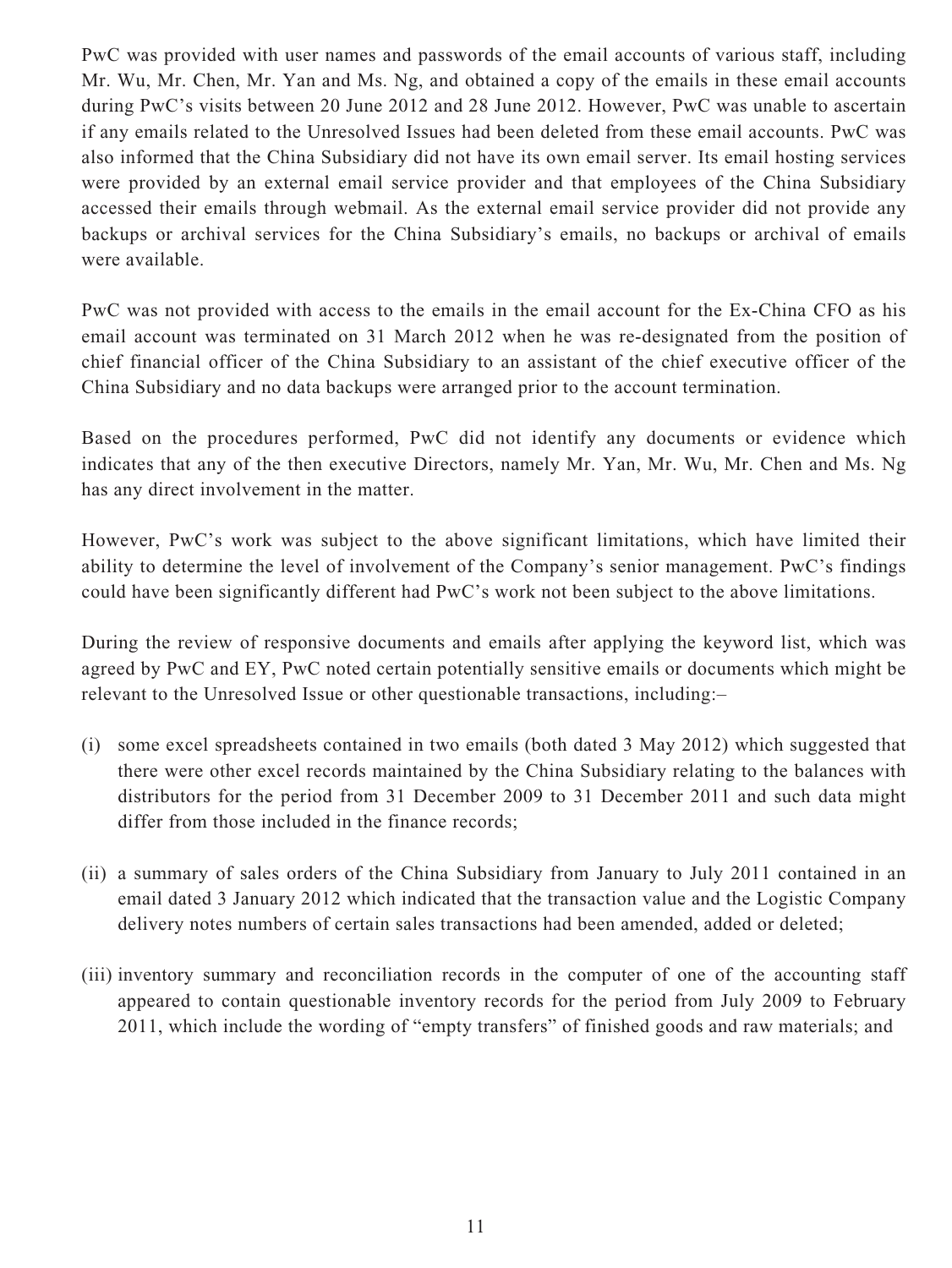PwC was provided with user names and passwords of the email accounts of various staff, including Mr. Wu, Mr. Chen, Mr. Yan and Ms. Ng, and obtained a copy of the emails in these email accounts during PwC's visits between 20 June 2012 and 28 June 2012. However, PwC was unable to ascertain if any emails related to the Unresolved Issues had been deleted from these email accounts. PwC was also informed that the China Subsidiary did not have its own email server. Its email hosting services were provided by an external email service provider and that employees of the China Subsidiary accessed their emails through webmail. As the external email service provider did not provide any backups or archival services for the China Subsidiary's emails, no backups or archival of emails were available.

PwC was not provided with access to the emails in the email account for the Ex-China CFO as his email account was terminated on 31 March 2012 when he was re-designated from the position of chief financial officer of the China Subsidiary to an assistant of the chief executive officer of the China Subsidiary and no data backups were arranged prior to the account termination.

Based on the procedures performed, PwC did not identify any documents or evidence which indicates that any of the then executive Directors, namely Mr. Yan, Mr. Wu, Mr. Chen and Ms. Ng has any direct involvement in the matter.

However, PwC's work was subject to the above significant limitations, which have limited their ability to determine the level of involvement of the Company's senior management. PwC's findings could have been significantly different had PwC's work not been subject to the above limitations.

During the review of responsive documents and emails after applying the keyword list, which was agreed by PwC and EY, PwC noted certain potentially sensitive emails or documents which might be relevant to the Unresolved Issue or other questionable transactions, including:–

- (i) some excel spreadsheets contained in two emails (both dated 3 May 2012) which suggested that there were other excel records maintained by the China Subsidiary relating to the balances with distributors for the period from 31 December 2009 to 31 December 2011 and such data might differ from those included in the finance records;
- (ii) a summary of sales orders of the China Subsidiary from January to July 2011 contained in an email dated 3 January 2012 which indicated that the transaction value and the Logistic Company delivery notes numbers of certain sales transactions had been amended, added or deleted;
- (iii) inventory summary and reconciliation records in the computer of one of the accounting staff appeared to contain questionable inventory records for the period from July 2009 to February 2011, which include the wording of "empty transfers" of finished goods and raw materials; and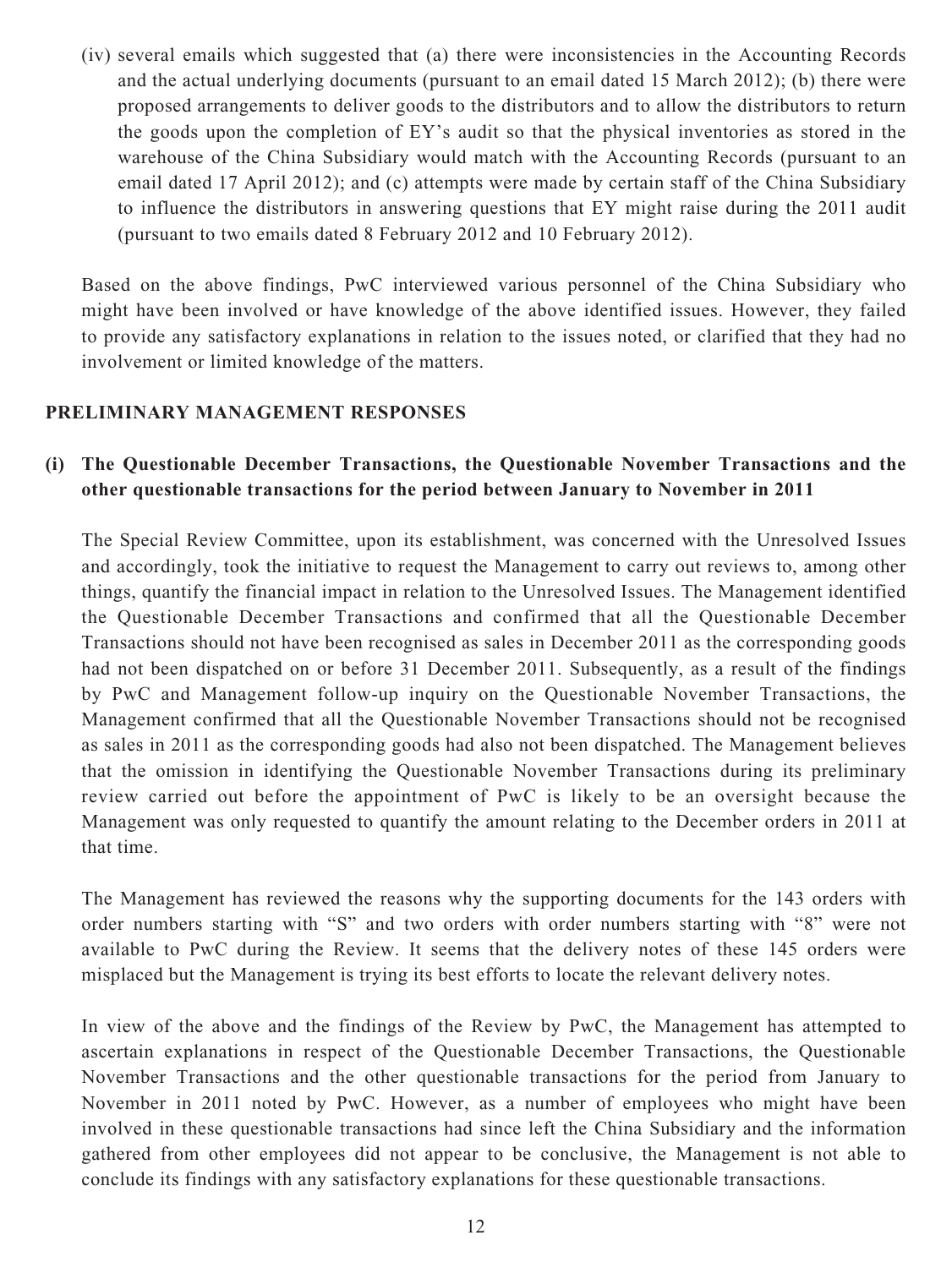(iv) several emails which suggested that (a) there were inconsistencies in the Accounting Records and the actual underlying documents (pursuant to an email dated 15 March 2012); (b) there were proposed arrangements to deliver goods to the distributors and to allow the distributors to return the goods upon the completion of EY's audit so that the physical inventories as stored in the warehouse of the China Subsidiary would match with the Accounting Records (pursuant to an email dated 17 April 2012); and (c) attempts were made by certain staff of the China Subsidiary to influence the distributors in answering questions that EY might raise during the 2011 audit (pursuant to two emails dated 8 February 2012 and 10 February 2012).

Based on the above findings, PwC interviewed various personnel of the China Subsidiary who might have been involved or have knowledge of the above identified issues. However, they failed to provide any satisfactory explanations in relation to the issues noted, or clarified that they had no involvement or limited knowledge of the matters.

#### **PRELIMINARY MANAGEMENT RESPONSES**

## **(i) The Questionable December Transactions, the Questionable November Transactions and the other questionable transactions for the period between January to November in 2011**

The Special Review Committee, upon its establishment, was concerned with the Unresolved Issues and accordingly, took the initiative to request the Management to carry out reviews to, among other things, quantify the financial impact in relation to the Unresolved Issues. The Management identified the Questionable December Transactions and confirmed that all the Questionable December Transactions should not have been recognised as sales in December 2011 as the corresponding goods had not been dispatched on or before 31 December 2011. Subsequently, as a result of the findings by PwC and Management follow-up inquiry on the Questionable November Transactions, the Management confirmed that all the Questionable November Transactions should not be recognised as sales in 2011 as the corresponding goods had also not been dispatched. The Management believes that the omission in identifying the Questionable November Transactions during its preliminary review carried out before the appointment of PwC is likely to be an oversight because the Management was only requested to quantify the amount relating to the December orders in 2011 at that time.

The Management has reviewed the reasons why the supporting documents for the 143 orders with order numbers starting with "S" and two orders with order numbers starting with "8" were not available to PwC during the Review. It seems that the delivery notes of these 145 orders were misplaced but the Management is trying its best efforts to locate the relevant delivery notes.

In view of the above and the findings of the Review by PwC, the Management has attempted to ascertain explanations in respect of the Questionable December Transactions, the Questionable November Transactions and the other questionable transactions for the period from January to November in 2011 noted by PwC. However, as a number of employees who might have been involved in these questionable transactions had since left the China Subsidiary and the information gathered from other employees did not appear to be conclusive, the Management is not able to conclude its findings with any satisfactory explanations for these questionable transactions.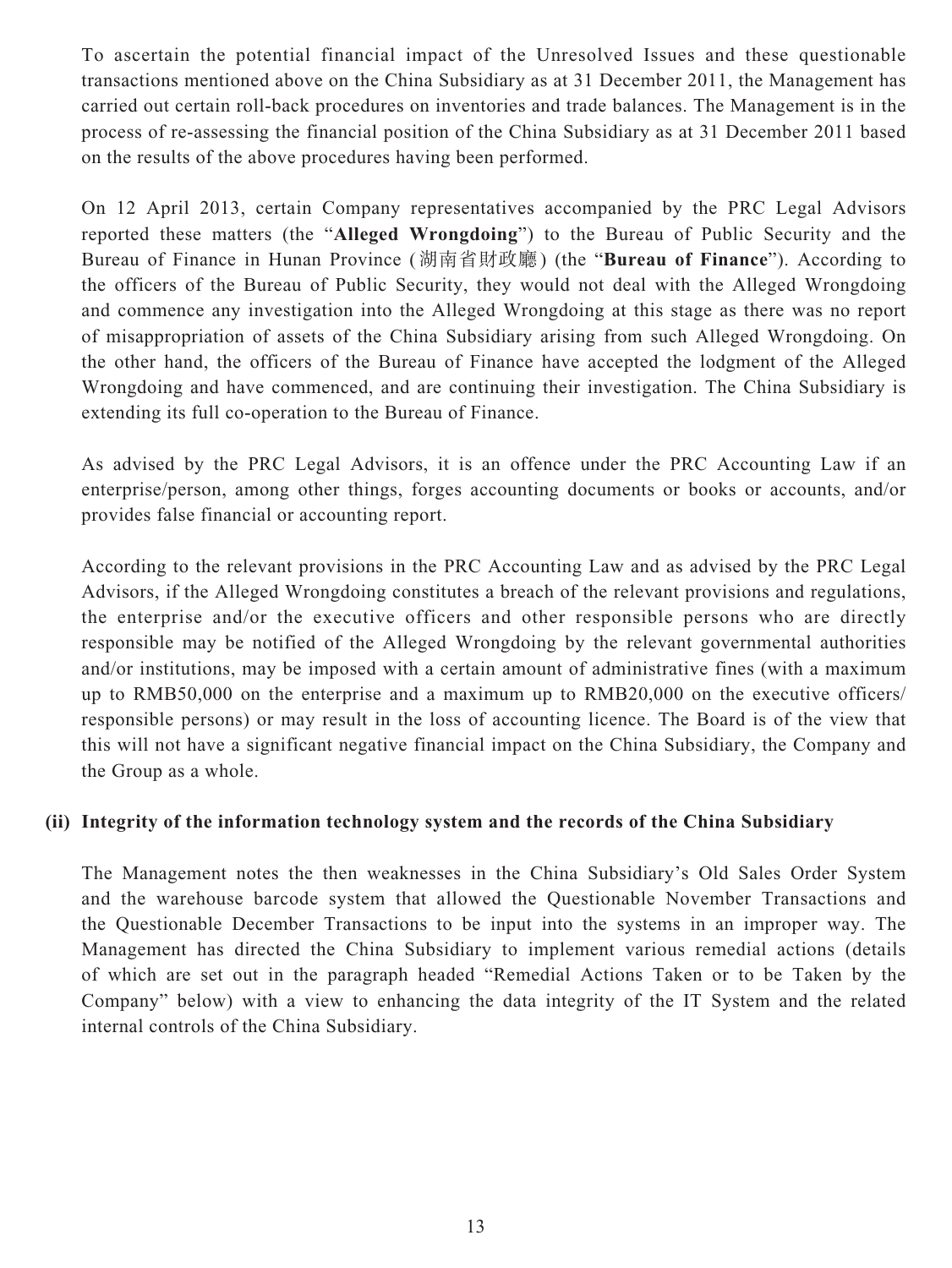To ascertain the potential financial impact of the Unresolved Issues and these questionable transactions mentioned above on the China Subsidiary as at 31 December 2011, the Management has carried out certain roll-back procedures on inventories and trade balances. The Management is in the process of re-assessing the financial position of the China Subsidiary as at 31 December 2011 based on the results of the above procedures having been performed.

On 12 April 2013, certain Company representatives accompanied by the PRC Legal Advisors reported these matters (the "**Alleged Wrongdoing**") to the Bureau of Public Security and the Bureau of Finance in Hunan Province (湖南省財政廳) (the "**Bureau of Finance**"). According to the officers of the Bureau of Public Security, they would not deal with the Alleged Wrongdoing and commence any investigation into the Alleged Wrongdoing at this stage as there was no report of misappropriation of assets of the China Subsidiary arising from such Alleged Wrongdoing. On the other hand, the officers of the Bureau of Finance have accepted the lodgment of the Alleged Wrongdoing and have commenced, and are continuing their investigation. The China Subsidiary is extending its full co-operation to the Bureau of Finance.

As advised by the PRC Legal Advisors, it is an offence under the PRC Accounting Law if an enterprise/person, among other things, forges accounting documents or books or accounts, and/or provides false financial or accounting report.

According to the relevant provisions in the PRC Accounting Law and as advised by the PRC Legal Advisors, if the Alleged Wrongdoing constitutes a breach of the relevant provisions and regulations, the enterprise and/or the executive officers and other responsible persons who are directly responsible may be notified of the Alleged Wrongdoing by the relevant governmental authorities and/or institutions, may be imposed with a certain amount of administrative fines (with a maximum up to RMB50,000 on the enterprise and a maximum up to RMB20,000 on the executive officers/ responsible persons) or may result in the loss of accounting licence. The Board is of the view that this will not have a significant negative financial impact on the China Subsidiary, the Company and the Group as a whole.

#### **(ii) Integrity of the information technology system and the records of the China Subsidiary**

The Management notes the then weaknesses in the China Subsidiary's Old Sales Order System and the warehouse barcode system that allowed the Questionable November Transactions and the Questionable December Transactions to be input into the systems in an improper way. The Management has directed the China Subsidiary to implement various remedial actions (details of which are set out in the paragraph headed "Remedial Actions Taken or to be Taken by the Company" below) with a view to enhancing the data integrity of the IT System and the related internal controls of the China Subsidiary.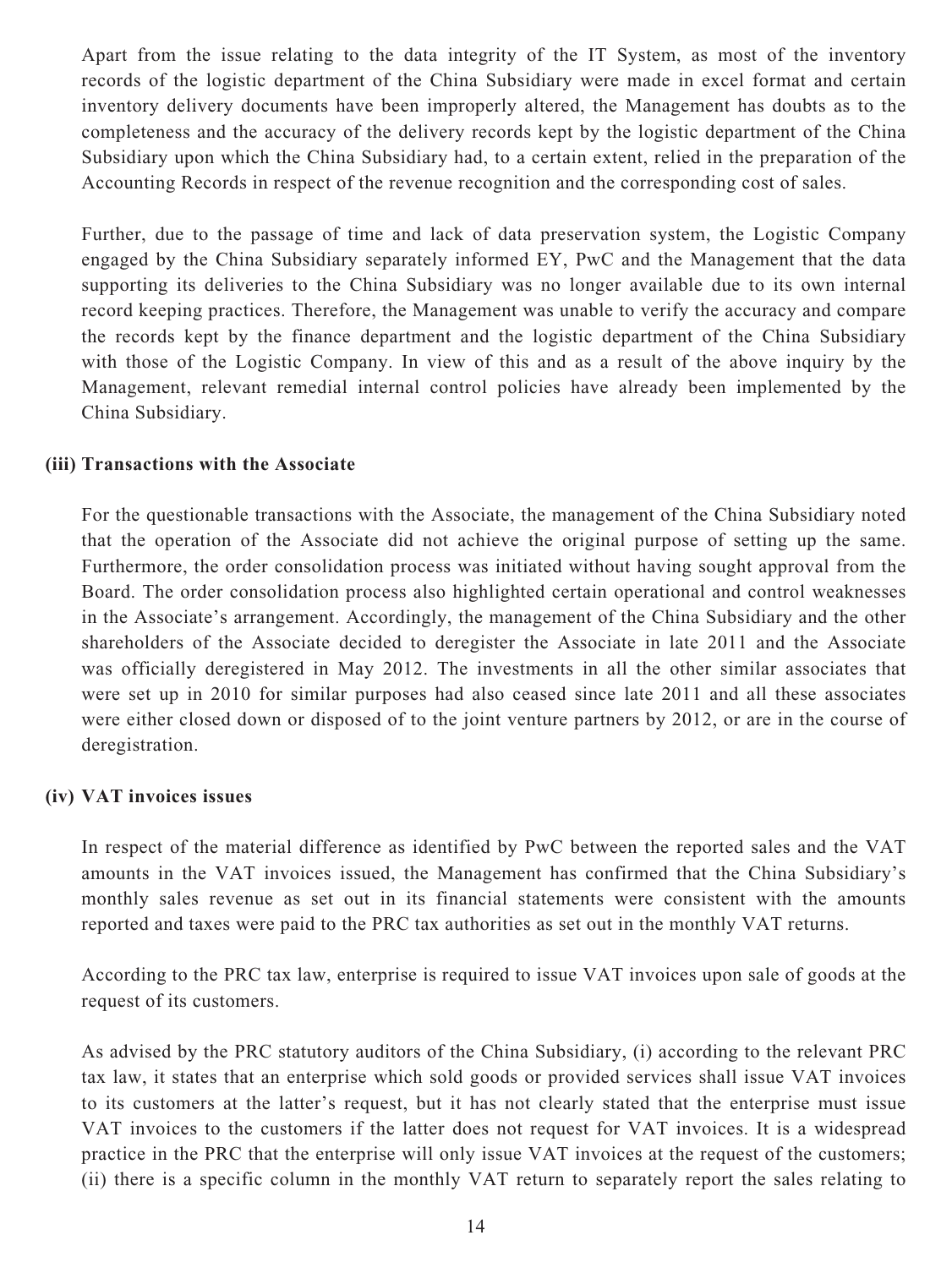Apart from the issue relating to the data integrity of the IT System, as most of the inventory records of the logistic department of the China Subsidiary were made in excel format and certain inventory delivery documents have been improperly altered, the Management has doubts as to the completeness and the accuracy of the delivery records kept by the logistic department of the China Subsidiary upon which the China Subsidiary had, to a certain extent, relied in the preparation of the Accounting Records in respect of the revenue recognition and the corresponding cost of sales.

Further, due to the passage of time and lack of data preservation system, the Logistic Company engaged by the China Subsidiary separately informed EY, PwC and the Management that the data supporting its deliveries to the China Subsidiary was no longer available due to its own internal record keeping practices. Therefore, the Management was unable to verify the accuracy and compare the records kept by the finance department and the logistic department of the China Subsidiary with those of the Logistic Company. In view of this and as a result of the above inquiry by the Management, relevant remedial internal control policies have already been implemented by the China Subsidiary.

#### **(iii) Transactions with the Associate**

For the questionable transactions with the Associate, the management of the China Subsidiary noted that the operation of the Associate did not achieve the original purpose of setting up the same. Furthermore, the order consolidation process was initiated without having sought approval from the Board. The order consolidation process also highlighted certain operational and control weaknesses in the Associate's arrangement. Accordingly, the management of the China Subsidiary and the other shareholders of the Associate decided to deregister the Associate in late 2011 and the Associate was officially deregistered in May 2012. The investments in all the other similar associates that were set up in 2010 for similar purposes had also ceased since late 2011 and all these associates were either closed down or disposed of to the joint venture partners by 2012, or are in the course of deregistration.

#### **(iv) VAT invoices issues**

In respect of the material difference as identified by PwC between the reported sales and the VAT amounts in the VAT invoices issued, the Management has confirmed that the China Subsidiary's monthly sales revenue as set out in its financial statements were consistent with the amounts reported and taxes were paid to the PRC tax authorities as set out in the monthly VAT returns.

According to the PRC tax law, enterprise is required to issue VAT invoices upon sale of goods at the request of its customers.

As advised by the PRC statutory auditors of the China Subsidiary, (i) according to the relevant PRC tax law, it states that an enterprise which sold goods or provided services shall issue VAT invoices to its customers at the latter's request, but it has not clearly stated that the enterprise must issue VAT invoices to the customers if the latter does not request for VAT invoices. It is a widespread practice in the PRC that the enterprise will only issue VAT invoices at the request of the customers; (ii) there is a specific column in the monthly VAT return to separately report the sales relating to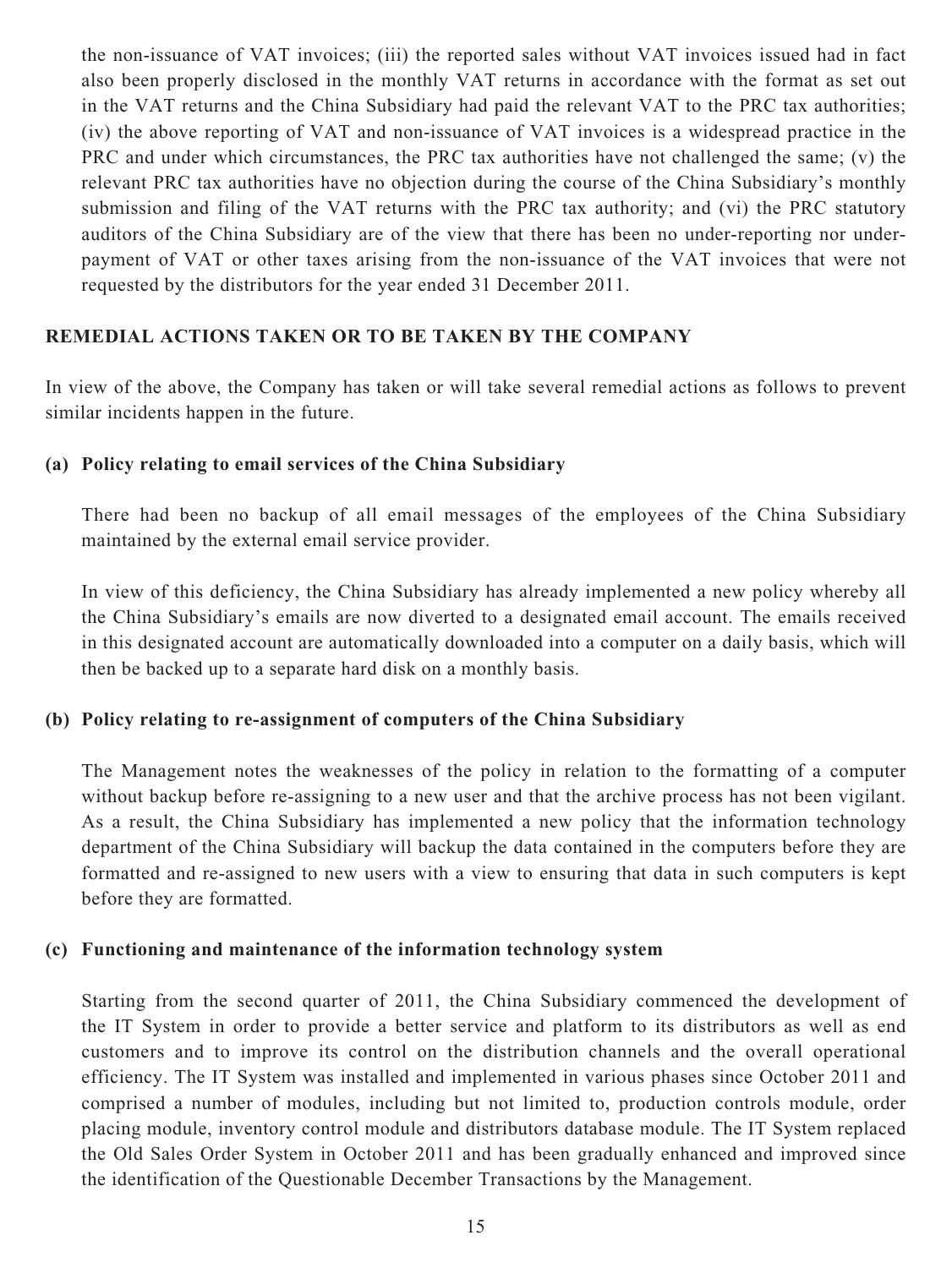the non-issuance of VAT invoices; (iii) the reported sales without VAT invoices issued had in fact also been properly disclosed in the monthly VAT returns in accordance with the format as set out in the VAT returns and the China Subsidiary had paid the relevant VAT to the PRC tax authorities; (iv) the above reporting of VAT and non-issuance of VAT invoices is a widespread practice in the PRC and under which circumstances, the PRC tax authorities have not challenged the same; (v) the relevant PRC tax authorities have no objection during the course of the China Subsidiary's monthly submission and filing of the VAT returns with the PRC tax authority; and (vi) the PRC statutory auditors of the China Subsidiary are of the view that there has been no under-reporting nor underpayment of VAT or other taxes arising from the non-issuance of the VAT invoices that were not requested by the distributors for the year ended 31 December 2011.

#### **REMEDIAL ACTIONS TAKEN OR TO BE TAKEN BY THE COMPANY**

In view of the above, the Company has taken or will take several remedial actions as follows to prevent similar incidents happen in the future.

#### **(a) Policy relating to email services of the China Subsidiary**

There had been no backup of all email messages of the employees of the China Subsidiary maintained by the external email service provider.

In view of this deficiency, the China Subsidiary has already implemented a new policy whereby all the China Subsidiary's emails are now diverted to a designated email account. The emails received in this designated account are automatically downloaded into a computer on a daily basis, which will then be backed up to a separate hard disk on a monthly basis.

## **(b) Policy relating to re-assignment of computers of the China Subsidiary**

The Management notes the weaknesses of the policy in relation to the formatting of a computer without backup before re-assigning to a new user and that the archive process has not been vigilant. As a result, the China Subsidiary has implemented a new policy that the information technology department of the China Subsidiary will backup the data contained in the computers before they are formatted and re-assigned to new users with a view to ensuring that data in such computers is kept before they are formatted.

#### **(c) Functioning and maintenance of the information technology system**

Starting from the second quarter of 2011, the China Subsidiary commenced the development of the IT System in order to provide a better service and platform to its distributors as well as end customers and to improve its control on the distribution channels and the overall operational efficiency. The IT System was installed and implemented in various phases since October 2011 and comprised a number of modules, including but not limited to, production controls module, order placing module, inventory control module and distributors database module. The IT System replaced the Old Sales Order System in October 2011 and has been gradually enhanced and improved since the identification of the Questionable December Transactions by the Management.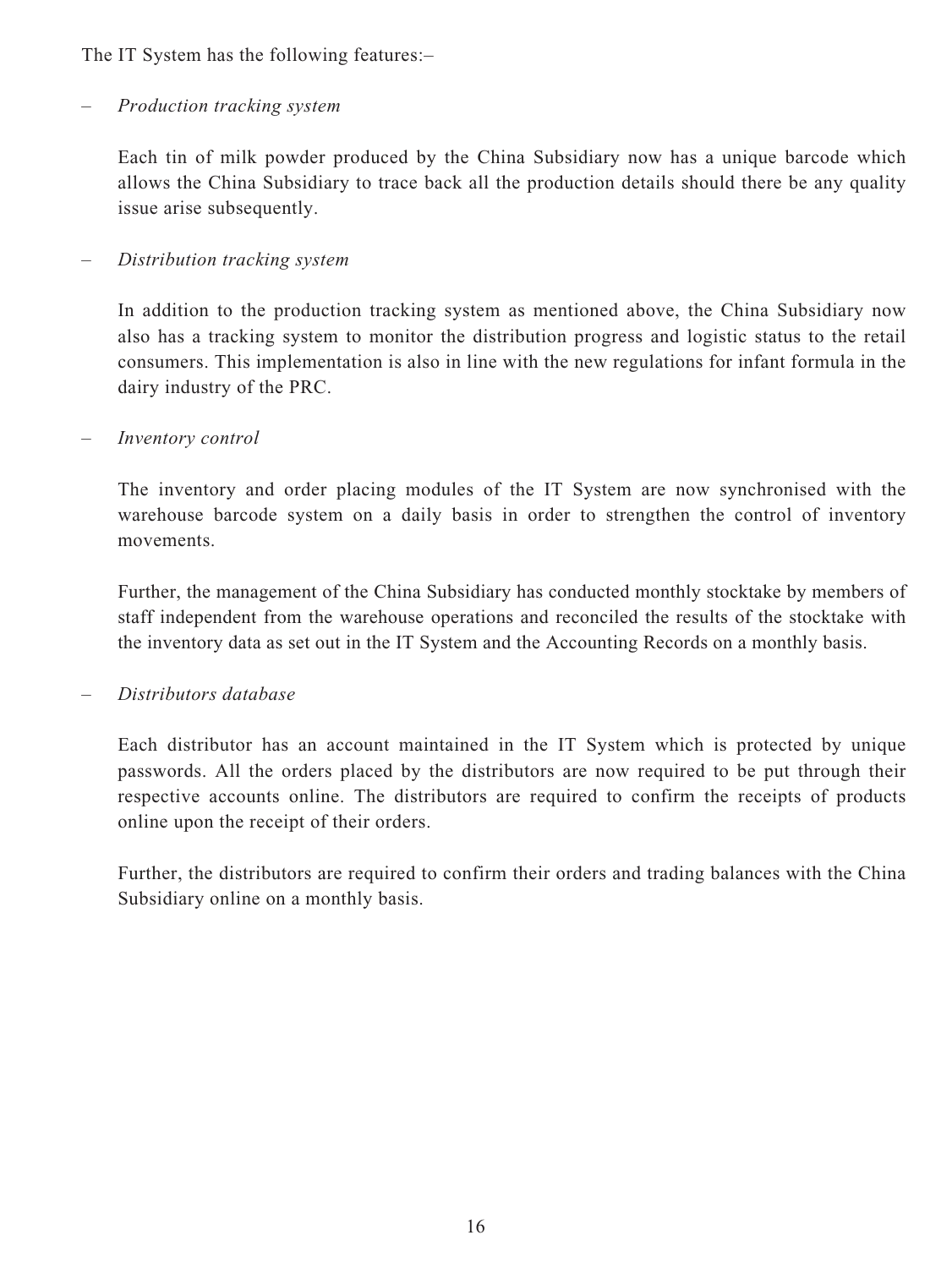The IT System has the following features:–

#### *– Production tracking system*

Each tin of milk powder produced by the China Subsidiary now has a unique barcode which allows the China Subsidiary to trace back all the production details should there be any quality issue arise subsequently.

#### *– Distribution tracking system*

In addition to the production tracking system as mentioned above, the China Subsidiary now also has a tracking system to monitor the distribution progress and logistic status to the retail consumers. This implementation is also in line with the new regulations for infant formula in the dairy industry of the PRC.

#### *– Inventory control*

The inventory and order placing modules of the IT System are now synchronised with the warehouse barcode system on a daily basis in order to strengthen the control of inventory movements.

Further, the management of the China Subsidiary has conducted monthly stocktake by members of staff independent from the warehouse operations and reconciled the results of the stocktake with the inventory data as set out in the IT System and the Accounting Records on a monthly basis.

#### *– Distributors database*

Each distributor has an account maintained in the IT System which is protected by unique passwords. All the orders placed by the distributors are now required to be put through their respective accounts online. The distributors are required to confirm the receipts of products online upon the receipt of their orders.

Further, the distributors are required to confirm their orders and trading balances with the China Subsidiary online on a monthly basis.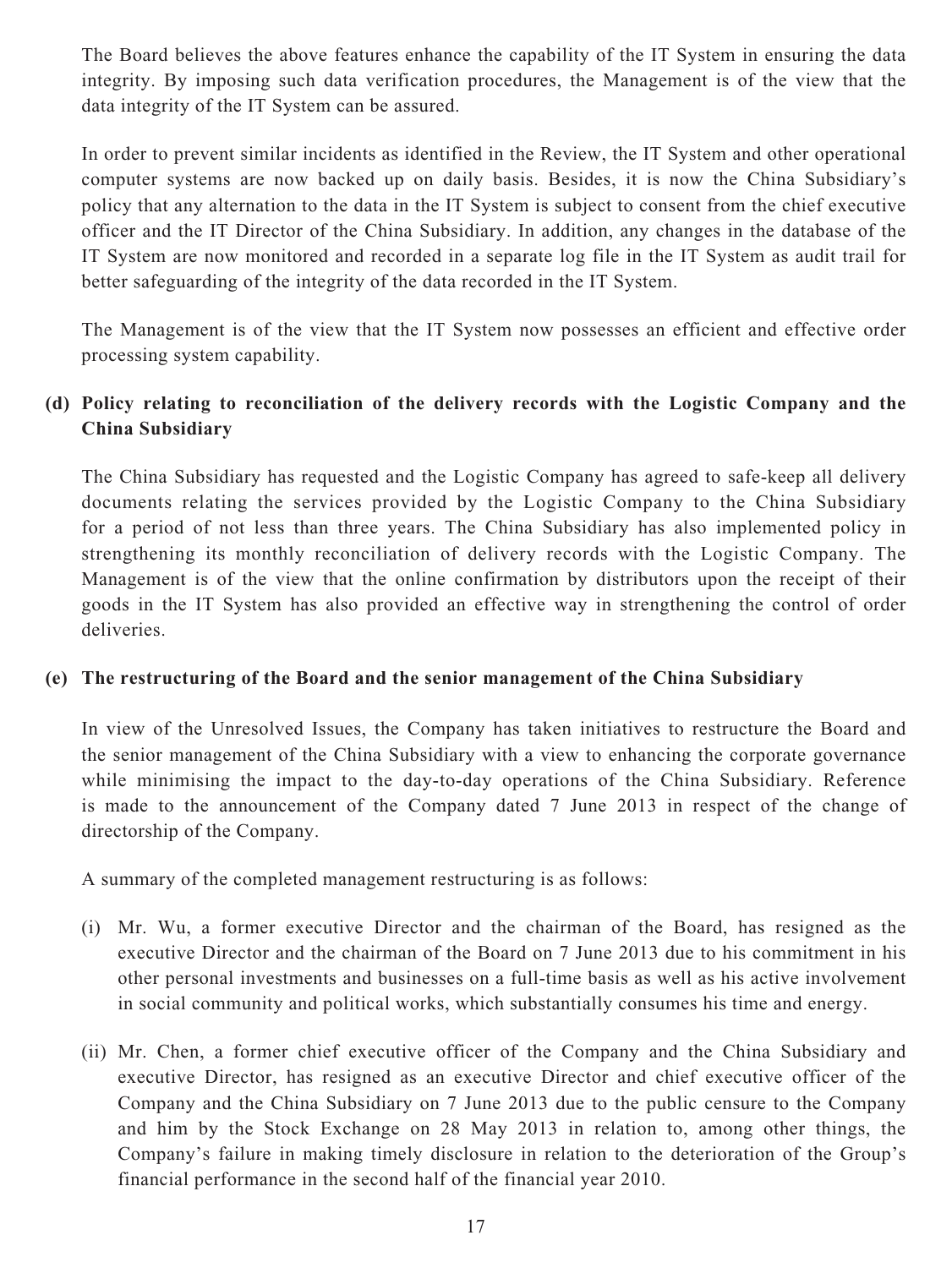The Board believes the above features enhance the capability of the IT System in ensuring the data integrity. By imposing such data verification procedures, the Management is of the view that the data integrity of the IT System can be assured.

In order to prevent similar incidents as identified in the Review, the IT System and other operational computer systems are now backed up on daily basis. Besides, it is now the China Subsidiary's policy that any alternation to the data in the IT System is subject to consent from the chief executive officer and the IT Director of the China Subsidiary. In addition, any changes in the database of the IT System are now monitored and recorded in a separate log file in the IT System as audit trail for better safeguarding of the integrity of the data recorded in the IT System.

The Management is of the view that the IT System now possesses an efficient and effective order processing system capability.

## **(d) Policy relating to reconciliation of the delivery records with the Logistic Company and the China Subsidiary**

The China Subsidiary has requested and the Logistic Company has agreed to safe-keep all delivery documents relating the services provided by the Logistic Company to the China Subsidiary for a period of not less than three years. The China Subsidiary has also implemented policy in strengthening its monthly reconciliation of delivery records with the Logistic Company. The Management is of the view that the online confirmation by distributors upon the receipt of their goods in the IT System has also provided an effective way in strengthening the control of order deliveries.

#### **(e) The restructuring of the Board and the senior management of the China Subsidiary**

In view of the Unresolved Issues, the Company has taken initiatives to restructure the Board and the senior management of the China Subsidiary with a view to enhancing the corporate governance while minimising the impact to the day-to-day operations of the China Subsidiary. Reference is made to the announcement of the Company dated 7 June 2013 in respect of the change of directorship of the Company.

A summary of the completed management restructuring is as follows:

- (i) Mr. Wu, a former executive Director and the chairman of the Board, has resigned as the executive Director and the chairman of the Board on 7 June 2013 due to his commitment in his other personal investments and businesses on a full-time basis as well as his active involvement in social community and political works, which substantially consumes his time and energy.
- (ii) Mr. Chen, a former chief executive officer of the Company and the China Subsidiary and executive Director, has resigned as an executive Director and chief executive officer of the Company and the China Subsidiary on 7 June 2013 due to the public censure to the Company and him by the Stock Exchange on 28 May 2013 in relation to, among other things, the Company's failure in making timely disclosure in relation to the deterioration of the Group's financial performance in the second half of the financial year 2010.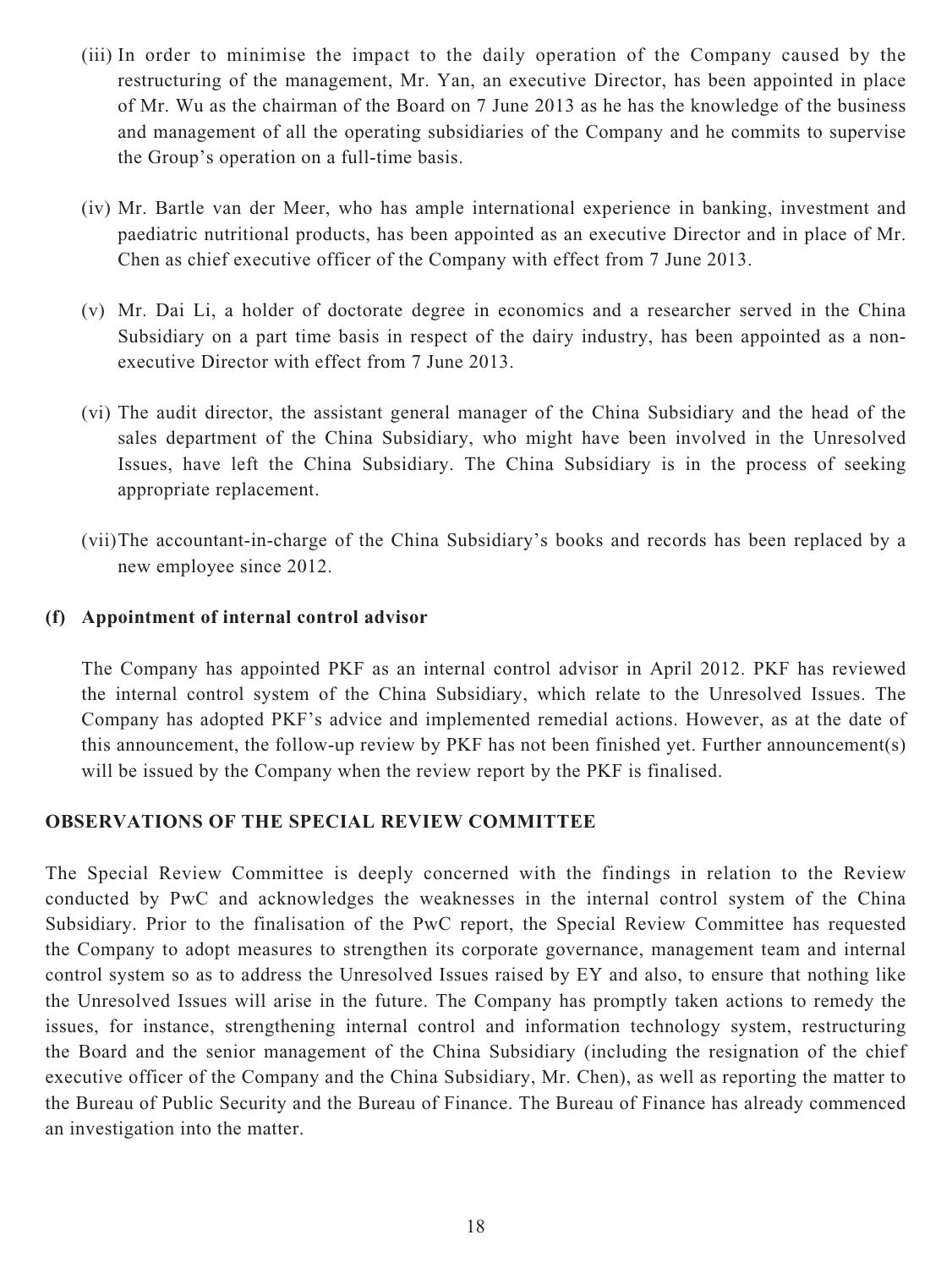- (iii) In order to minimise the impact to the daily operation of the Company caused by the restructuring of the management, Mr. Yan, an executive Director, has been appointed in place of Mr. Wu as the chairman of the Board on 7 June 2013 as he has the knowledge of the business and management of all the operating subsidiaries of the Company and he commits to supervise the Group's operation on a full-time basis.
- (iv) Mr. Bartle van der Meer, who has ample international experience in banking, investment and paediatric nutritional products, has been appointed as an executive Director and in place of Mr. Chen as chief executive officer of the Company with effect from 7 June 2013.
- (v) Mr. Dai Li, a holder of doctorate degree in economics and a researcher served in the China Subsidiary on a part time basis in respect of the dairy industry, has been appointed as a nonexecutive Director with effect from 7 June 2013.
- (vi) The audit director, the assistant general manager of the China Subsidiary and the head of the sales department of the China Subsidiary, who might have been involved in the Unresolved Issues, have left the China Subsidiary. The China Subsidiary is in the process of seeking appropriate replacement.
- (vii) The accountant-in-charge of the China Subsidiary's books and records has been replaced by a new employee since 2012.

#### **(f) Appointment of internal control advisor**

The Company has appointed PKF as an internal control advisor in April 2012. PKF has reviewed the internal control system of the China Subsidiary, which relate to the Unresolved Issues. The Company has adopted PKF's advice and implemented remedial actions. However, as at the date of this announcement, the follow-up review by PKF has not been finished yet. Further announcement(s) will be issued by the Company when the review report by the PKF is finalised.

#### **OBSERVATIONS OF THE SPECIAL REVIEW COMMITTEE**

The Special Review Committee is deeply concerned with the findings in relation to the Review conducted by PwC and acknowledges the weaknesses in the internal control system of the China Subsidiary. Prior to the finalisation of the PwC report, the Special Review Committee has requested the Company to adopt measures to strengthen its corporate governance, management team and internal control system so as to address the Unresolved Issues raised by EY and also, to ensure that nothing like the Unresolved Issues will arise in the future. The Company has promptly taken actions to remedy the issues, for instance, strengthening internal control and information technology system, restructuring the Board and the senior management of the China Subsidiary (including the resignation of the chief executive officer of the Company and the China Subsidiary, Mr. Chen), as well as reporting the matter to the Bureau of Public Security and the Bureau of Finance. The Bureau of Finance has already commenced an investigation into the matter.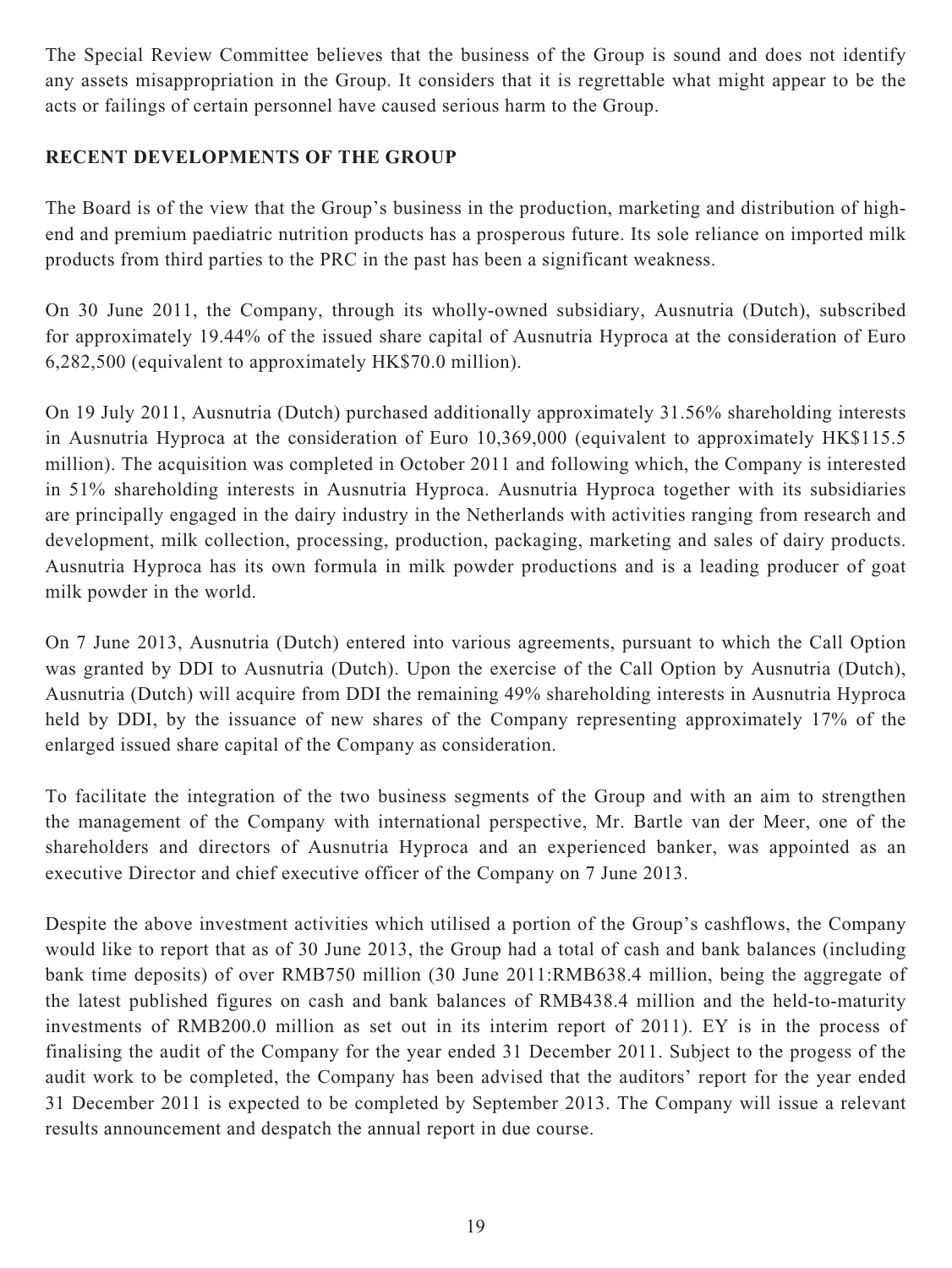The Special Review Committee believes that the business of the Group is sound and does not identify any assets misappropriation in the Group. It considers that it is regrettable what might appear to be the acts or failings of certain personnel have caused serious harm to the Group.

## **RECENT DEVELOPMENTS OF THE GROUP**

The Board is of the view that the Group's business in the production, marketing and distribution of highend and premium paediatric nutrition products has a prosperous future. Its sole reliance on imported milk products from third parties to the PRC in the past has been a significant weakness.

On 30 June 2011, the Company, through its wholly-owned subsidiary, Ausnutria (Dutch), subscribed for approximately 19.44% of the issued share capital of Ausnutria Hyproca at the consideration of Euro 6,282,500 (equivalent to approximately HK\$70.0 million).

On 19 July 2011, Ausnutria (Dutch) purchased additionally approximately 31.56% shareholding interests in Ausnutria Hyproca at the consideration of Euro 10,369,000 (equivalent to approximately HK\$115.5 million). The acquisition was completed in October 2011 and following which, the Company is interested in 51% shareholding interests in Ausnutria Hyproca. Ausnutria Hyproca together with its subsidiaries are principally engaged in the dairy industry in the Netherlands with activities ranging from research and development, milk collection, processing, production, packaging, marketing and sales of dairy products. Ausnutria Hyproca has its own formula in milk powder productions and is a leading producer of goat milk powder in the world.

On 7 June 2013, Ausnutria (Dutch) entered into various agreements, pursuant to which the Call Option was granted by DDI to Ausnutria (Dutch). Upon the exercise of the Call Option by Ausnutria (Dutch), Ausnutria (Dutch) will acquire from DDI the remaining 49% shareholding interests in Ausnutria Hyproca held by DDI, by the issuance of new shares of the Company representing approximately 17% of the enlarged issued share capital of the Company as consideration.

To facilitate the integration of the two business segments of the Group and with an aim to strengthen the management of the Company with international perspective, Mr. Bartle van der Meer, one of the shareholders and directors of Ausnutria Hyproca and an experienced banker, was appointed as an executive Director and chief executive officer of the Company on 7 June 2013.

Despite the above investment activities which utilised a portion of the Group's cashflows, the Company would like to report that as of 30 June 2013, the Group had a total of cash and bank balances (including bank time deposits) of over RMB750 million (30 June 2011:RMB638.4 million, being the aggregate of the latest published figures on cash and bank balances of RMB438.4 million and the held-to-maturity investments of RMB200.0 million as set out in its interim report of 2011). EY is in the process of finalising the audit of the Company for the year ended 31 December 2011. Subject to the progess of the audit work to be completed, the Company has been advised that the auditors' report for the year ended 31 December 2011 is expected to be completed by September 2013. The Company will issue a relevant results announcement and despatch the annual report in due course.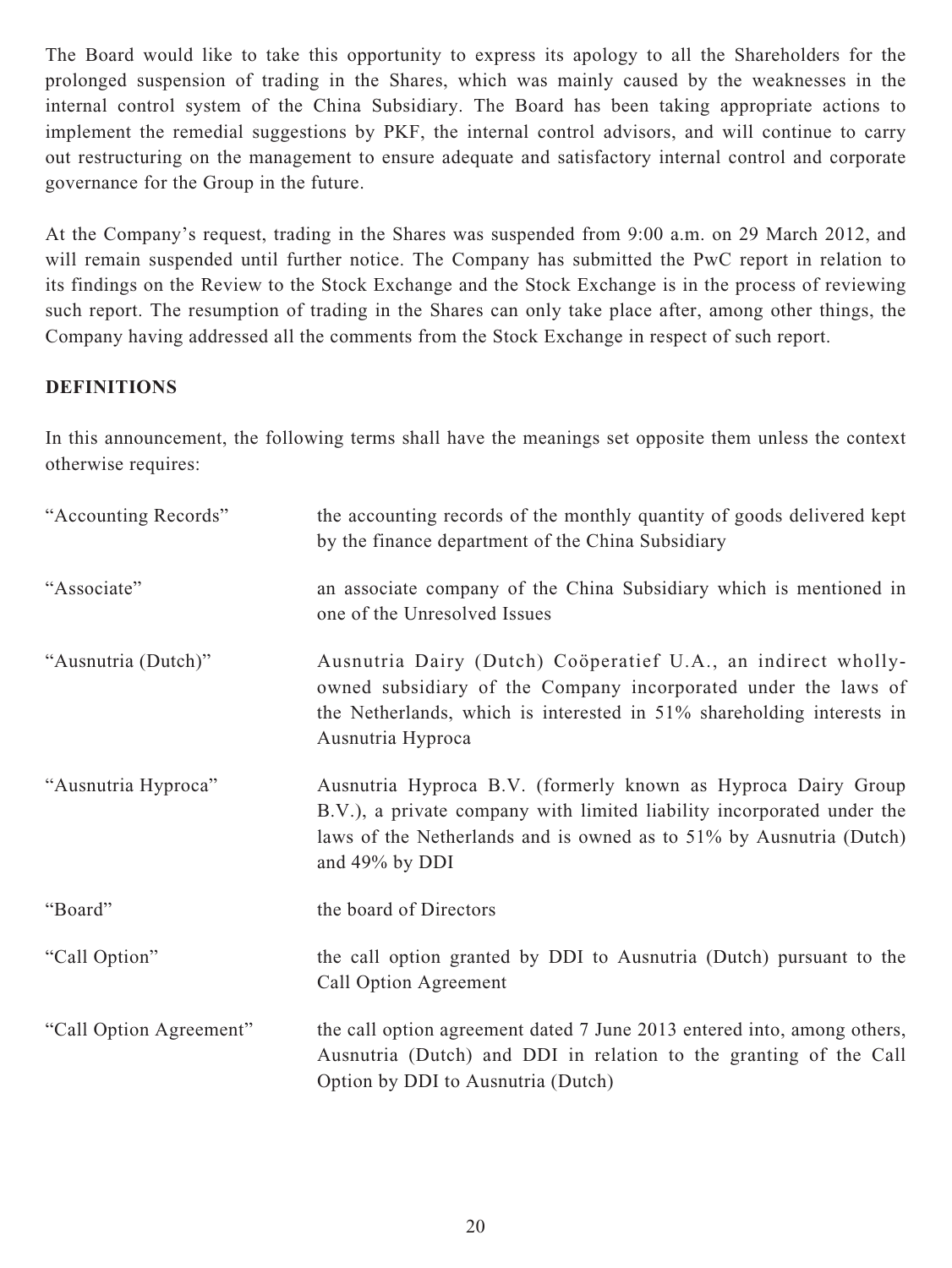The Board would like to take this opportunity to express its apology to all the Shareholders for the prolonged suspension of trading in the Shares, which was mainly caused by the weaknesses in the internal control system of the China Subsidiary. The Board has been taking appropriate actions to implement the remedial suggestions by PKF, the internal control advisors, and will continue to carry out restructuring on the management to ensure adequate and satisfactory internal control and corporate governance for the Group in the future.

At the Company's request, trading in the Shares was suspended from 9:00 a.m. on 29 March 2012, and will remain suspended until further notice. The Company has submitted the PwC report in relation to its findings on the Review to the Stock Exchange and the Stock Exchange is in the process of reviewing such report. The resumption of trading in the Shares can only take place after, among other things, the Company having addressed all the comments from the Stock Exchange in respect of such report.

#### **DEFINITIONS**

In this announcement, the following terms shall have the meanings set opposite them unless the context otherwise requires:

| "Accounting Records"    | the accounting records of the monthly quantity of goods delivered kept<br>by the finance department of the China Subsidiary                                                                                                      |
|-------------------------|----------------------------------------------------------------------------------------------------------------------------------------------------------------------------------------------------------------------------------|
| "Associate"             | an associate company of the China Subsidiary which is mentioned in<br>one of the Unresolved Issues                                                                                                                               |
| "Ausnutria (Dutch)"     | Ausnutria Dairy (Dutch) Coöperatief U.A., an indirect wholly-<br>owned subsidiary of the Company incorporated under the laws of<br>the Netherlands, which is interested in 51% shareholding interests in<br>Ausnutria Hyproca    |
| "Ausnutria Hyproca"     | Ausnutria Hyproca B.V. (formerly known as Hyproca Dairy Group<br>B.V.), a private company with limited liability incorporated under the<br>laws of the Netherlands and is owned as to 51% by Ausnutria (Dutch)<br>and 49% by DDI |
| "Board"                 | the board of Directors                                                                                                                                                                                                           |
| "Call Option"           | the call option granted by DDI to Ausnutria (Dutch) pursuant to the<br>Call Option Agreement                                                                                                                                     |
| "Call Option Agreement" | the call option agreement dated 7 June 2013 entered into, among others,<br>Ausnutria (Dutch) and DDI in relation to the granting of the Call<br>Option by DDI to Ausnutria (Dutch)                                               |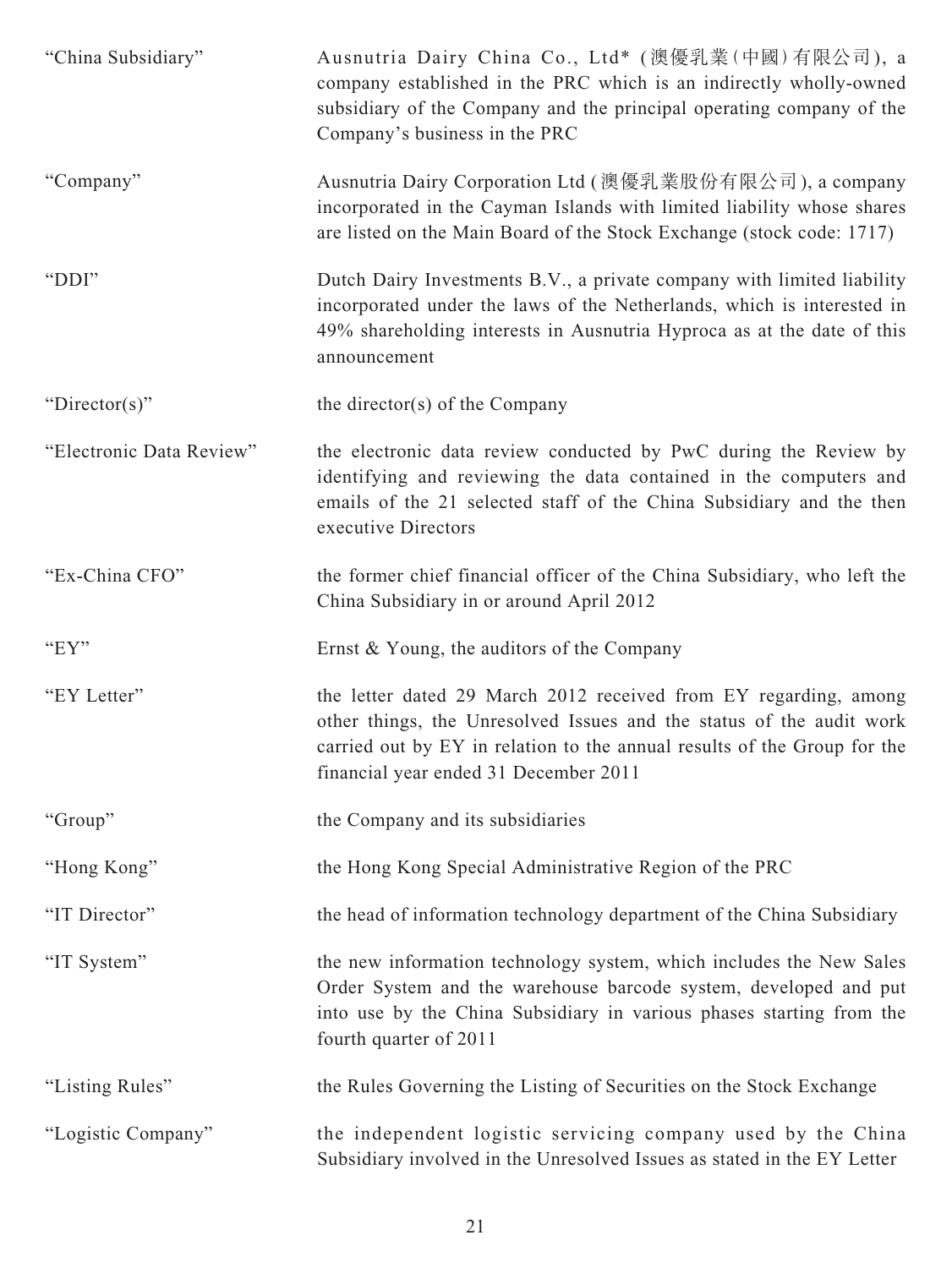| "China Subsidiary"       | Ausnutria Dairy China Co., Ltd* (澳優乳業(中國)有限公司), a<br>company established in the PRC which is an indirectly wholly-owned<br>subsidiary of the Company and the principal operating company of the<br>Company's business in the PRC                              |
|--------------------------|---------------------------------------------------------------------------------------------------------------------------------------------------------------------------------------------------------------------------------------------------------------|
| "Company"                | Ausnutria Dairy Corporation Ltd (澳優乳業股份有限公司), a company<br>incorporated in the Cayman Islands with limited liability whose shares<br>are listed on the Main Board of the Stock Exchange (stock code: 1717)                                                    |
| "DDI"                    | Dutch Dairy Investments B.V., a private company with limited liability<br>incorporated under the laws of the Netherlands, which is interested in<br>49% shareholding interests in Ausnutria Hyproca as at the date of this<br>announcement                    |
| "Director(s)"            | the director(s) of the Company                                                                                                                                                                                                                                |
| "Electronic Data Review" | the electronic data review conducted by PwC during the Review by<br>identifying and reviewing the data contained in the computers and<br>emails of the 21 selected staff of the China Subsidiary and the then<br>executive Directors                          |
| "Ex-China CFO"           | the former chief financial officer of the China Subsidiary, who left the<br>China Subsidiary in or around April 2012                                                                                                                                          |
| "EY"                     | Ernst & Young, the auditors of the Company                                                                                                                                                                                                                    |
| "EY Letter"              | the letter dated 29 March 2012 received from EY regarding, among<br>other things, the Unresolved Issues and the status of the audit work<br>carried out by EY in relation to the annual results of the Group for the<br>financial year ended 31 December 2011 |
| "Group"                  | the Company and its subsidiaries                                                                                                                                                                                                                              |
| "Hong Kong"              | the Hong Kong Special Administrative Region of the PRC                                                                                                                                                                                                        |
| "IT Director"            | the head of information technology department of the China Subsidiary                                                                                                                                                                                         |
| "IT System"              | the new information technology system, which includes the New Sales<br>Order System and the warehouse barcode system, developed and put<br>into use by the China Subsidiary in various phases starting from the<br>fourth quarter of 2011                     |
| "Listing Rules"          | the Rules Governing the Listing of Securities on the Stock Exchange                                                                                                                                                                                           |
| "Logistic Company"       | the independent logistic servicing company used by the China<br>Subsidiary involved in the Unresolved Issues as stated in the EY Letter                                                                                                                       |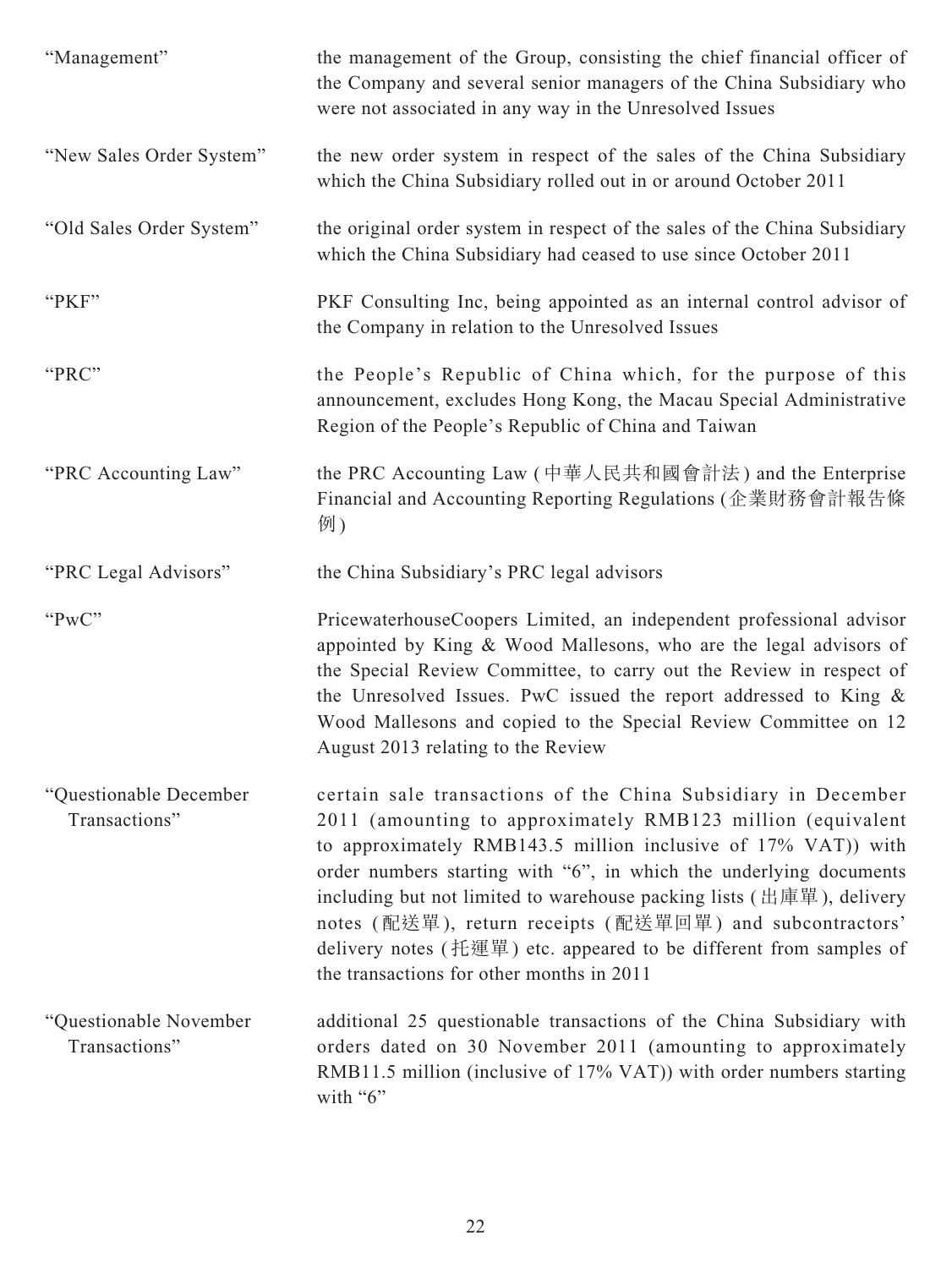| "Management"                            | the management of the Group, consisting the chief financial officer of<br>the Company and several senior managers of the China Subsidiary who<br>were not associated in any way in the Unresolved Issues                                                                                                                                                                                                                                                                                                                                          |
|-----------------------------------------|---------------------------------------------------------------------------------------------------------------------------------------------------------------------------------------------------------------------------------------------------------------------------------------------------------------------------------------------------------------------------------------------------------------------------------------------------------------------------------------------------------------------------------------------------|
| "New Sales Order System"                | the new order system in respect of the sales of the China Subsidiary<br>which the China Subsidiary rolled out in or around October 2011                                                                                                                                                                                                                                                                                                                                                                                                           |
| "Old Sales Order System"                | the original order system in respect of the sales of the China Subsidiary<br>which the China Subsidiary had ceased to use since October 2011                                                                                                                                                                                                                                                                                                                                                                                                      |
| "PKF"                                   | PKF Consulting Inc, being appointed as an internal control advisor of<br>the Company in relation to the Unresolved Issues                                                                                                                                                                                                                                                                                                                                                                                                                         |
| "PRC"                                   | the People's Republic of China which, for the purpose of this<br>announcement, excludes Hong Kong, the Macau Special Administrative<br>Region of the People's Republic of China and Taiwan                                                                                                                                                                                                                                                                                                                                                        |
| "PRC Accounting Law"                    | the PRC Accounting Law (中華人民共和國會計法) and the Enterprise<br>Financial and Accounting Reporting Regulations (企業財務會計報告條<br>例)                                                                                                                                                                                                                                                                                                                                                                                                                         |
| "PRC Legal Advisors"                    | the China Subsidiary's PRC legal advisors                                                                                                                                                                                                                                                                                                                                                                                                                                                                                                         |
| "PwC"                                   | PricewaterhouseCoopers Limited, an independent professional advisor<br>appointed by King & Wood Mallesons, who are the legal advisors of<br>the Special Review Committee, to carry out the Review in respect of<br>the Unresolved Issues. PwC issued the report addressed to King &<br>Wood Mallesons and copied to the Special Review Committee on 12<br>August 2013 relating to the Review                                                                                                                                                      |
| "Questionable December<br>Transactions" | certain sale transactions of the China Subsidiary in December<br>2011 (amounting to approximately RMB123 million (equivalent<br>to approximately RMB143.5 million inclusive of 17% VAT)) with<br>order numbers starting with "6", in which the underlying documents<br>including but not limited to warehouse packing lists $(H   \nexists \mathbb{E}$ ), delivery<br>notes (配送單), return receipts (配送單回單) and subcontractors'<br>delivery notes (托運單) etc. appeared to be different from samples of<br>the transactions for other months in 2011 |
| "Questionable November<br>Transactions" | additional 25 questionable transactions of the China Subsidiary with<br>orders dated on 30 November 2011 (amounting to approximately<br>RMB11.5 million (inclusive of 17% VAT)) with order numbers starting<br>with "6"                                                                                                                                                                                                                                                                                                                           |